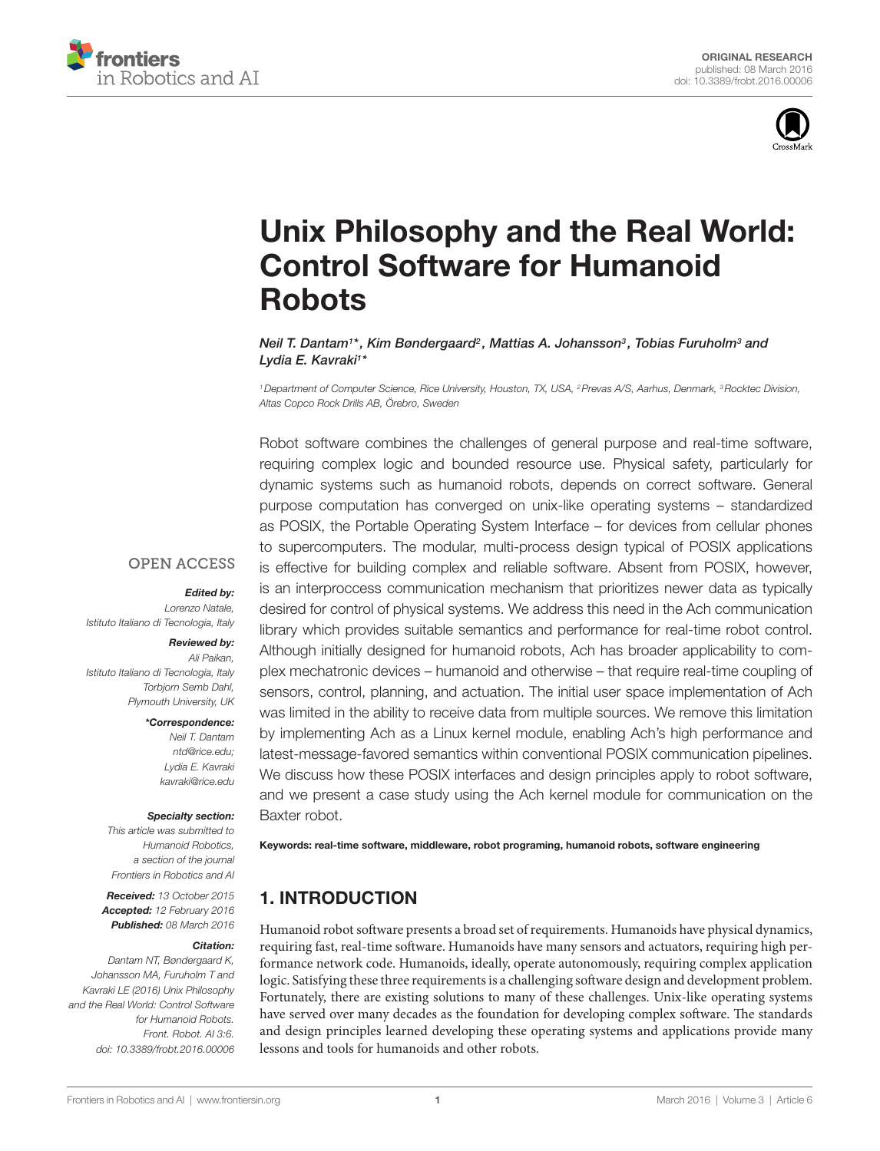



# Unix Philosophy and the Real World: **Control Software for Humanoid Robots**

*[Neil T. Dantam](http://loop.frontiersin.org/people/172955/overview)1 \*, [Kim Bøndergaard](http://loop.frontiersin.org/people/320069/overview)2 , [Mattias A. Johansson3](http://loop.frontiersin.org/people/322116/overview) , [Tobias Furuholm3](http://loop.frontiersin.org/people/284227/overview) and [Lydia E. Kavraki1](http://loop.frontiersin.org/people/136640/overview) \**

*1Department of Computer Science, Rice University, Houston, TX, USA, 2Prevas A/S, Aarhus, Denmark, 3Rocktec Division, Altas Copco Rock Drills AB, Örebro, Sweden*

Robot software combines the challenges of general purpose and real-time software, requiring complex logic and bounded resource use. Physical safety, particularly for dynamic systems such as humanoid robots, depends on correct software. General purpose computation has converged on unix-like operating systems – standardized as POSIX, the Portable Operating System Interface – for devices from cellular phones to supercomputers. The modular, multi-process design typical of POSIX applications is effective for building complex and reliable software. Absent from POSIX, however, is an interproccess communication mechanism that prioritizes newer data as typically desired for control of physical systems. We address this need in the Ach communication library which provides suitable semantics and performance for real-time robot control. Although initially designed for humanoid robots, Ach has broader applicability to complex mechatronic devices – humanoid and otherwise – that require real-time coupling of sensors, control, planning, and actuation. The initial user space implementation of Ach was limited in the ability to receive data from multiple sources. We remove this limitation by implementing Ach as a Linux kernel module, enabling Ach's high performance and latest-message-favored semantics within conventional POSIX communication pipelines. We discuss how these POSIX interfaces and design principles apply to robot software, and we present a case study using the Ach kernel module for communication on the Baxter robot.

# **OPEN ACCESS**

#### *Edited by:*

*Lorenzo Natale, Istituto Italiano di Tecnologia, Italy*

#### *Reviewed by:*

*Ali Paikan, Istituto Italiano di Tecnologia, Italy Torbjorn Semb Dahl, Plymouth University, UK*

*\*Correspondence:*

*Neil T. Dantam [ntd@rice.edu;](mailto:ntd@rice.edu) Lydia E. Kavraki [kavraki@rice.edu](mailto:kavraki@rice.edu)*

#### *Specialty section:*

*This article was submitted to Humanoid Robotics, a section of the journal Frontiers in Robotics and AI*

*Received: 13 October 2015 Accepted: 12 February 2016 Published: 08 March 2016*

#### *Citation:*

*Dantam NT, Bøndergaard K, Johansson MA, Furuholm T and Kavraki LE (2016) Unix Philosophy and the Real World: Control Software for Humanoid Robots. Front. Robot. AI 3:6. doi: [10.3389/frobt.2016.00006](http://dx.doi.org/10.3389/frobt.2016.00006)* Keywords: real-time software, middleware, robot programing, humanoid robots, software engineering

# 1. INTRODUCTION

Humanoid robot software presents a broad set of requirements. Humanoids have physical dynamics, requiring fast, real-time software. Humanoids have many sensors and actuators, requiring high performance network code. Humanoids, ideally, operate autonomously, requiring complex application logic. Satisfying these three requirements is a challenging software design and development problem. Fortunately, there are existing solutions to many of these challenges. Unix-like operating systems have served over many decades as the foundation for developing complex software. The standards and design principles learned developing these operating systems and applications provide many lessons and tools for humanoids and other robots.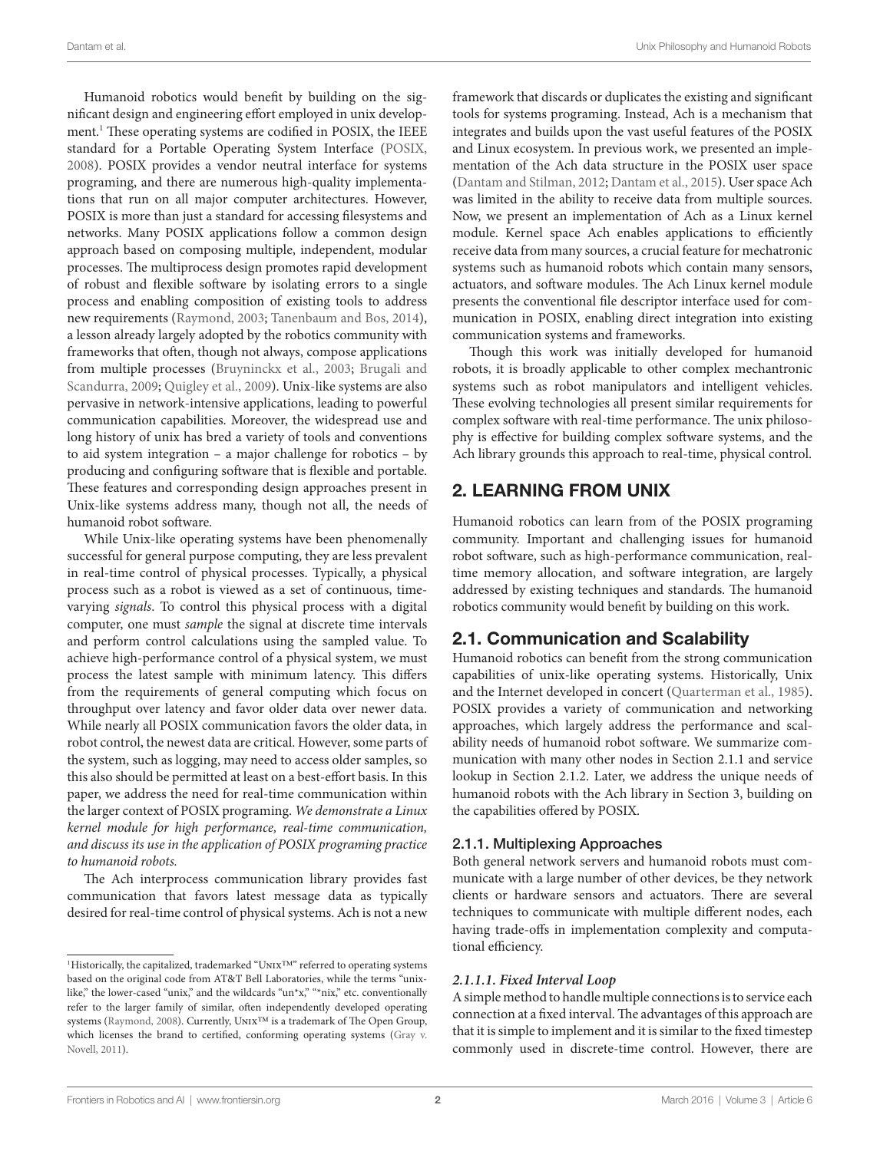Humanoid robotics would benefit by building on the significa[nt](#page-1-0) design and engineering effort employed in unix development.1 These operating systems are codified in POSIX, the IEEE standard for a Portable Operating System Interface ([POSIX,](#page-11-0) [2008\)](#page-11-0). POSIX provides a vendor neutral interface for systems programing, and there are numerous high-quality implementations that run on all major computer architectures. However, POSIX is more than just a standard for accessing filesystems and networks. Many POSIX applications follow a common design approach based on composing multiple, independent, modular processes. The multiprocess design promotes rapid development of robust and flexible software by isolating errors to a single process and enabling composition of existing tools to address new requirements [\(Raymond, 2003;](#page-11-1) [Tanenbaum and Bos, 2014\)](#page-11-2), a lesson already largely adopted by the robotics community with frameworks that often, though not always, compose applications from multiple processes ([Bruyninckx et al., 2003;](#page-10-0) [Brugali and](#page-10-1) [Scandurra, 2009;](#page-10-1) [Quigley et al., 2009\)](#page-11-3). Unix-like systems are also pervasive in network-intensive applications, leading to powerful communication capabilities. Moreover, the widespread use and long history of unix has bred a variety of tools and conventions to aid system integration – a major challenge for robotics – by producing and configuring software that is flexible and portable. These features and corresponding design approaches present in Unix-like systems address many, though not all, the needs of humanoid robot software.

While Unix-like operating systems have been phenomenally successful for general purpose computing, they are less prevalent in real-time control of physical processes. Typically, a physical process such as a robot is viewed as a set of continuous, timevarying *signals*. To control this physical process with a digital computer, one must *sample* the signal at discrete time intervals and perform control calculations using the sampled value. To achieve high-performance control of a physical system, we must process the latest sample with minimum latency. This differs from the requirements of general computing which focus on throughput over latency and favor older data over newer data. While nearly all POSIX communication favors the older data, in robot control, the newest data are critical. However, some parts of the system, such as logging, may need to access older samples, so this also should be permitted at least on a best-effort basis. In this paper, we address the need for real-time communication within the larger context of POSIX programing. *We demonstrate a Linux kernel module for high performance, real-time communication, and discuss its use in the application of POSIX programing practice to humanoid robots.*

The Ach interprocess communication library provides fast communication that favors latest message data as typically desired for real-time control of physical systems. Ach is not a new

framework that discards or duplicates the existing and significant tools for systems programing. Instead, Ach is a mechanism that integrates and builds upon the vast useful features of the POSIX and Linux ecosystem. In previous work, we presented an implementation of the Ach data structure in the POSIX user space [\(Dantam and Stilman, 2012;](#page-10-3) [Dantam et al., 2015\)](#page-10-4). User space Ach was limited in the ability to receive data from multiple sources. Now, we present an implementation of Ach as a Linux kernel module. Kernel space Ach enables applications to efficiently receive data from many sources, a crucial feature for mechatronic systems such as humanoid robots which contain many sensors, actuators, and software modules. The Ach Linux kernel module presents the conventional file descriptor interface used for communication in POSIX, enabling direct integration into existing communication systems and frameworks.

Though this work was initially developed for humanoid robots, it is broadly applicable to other complex mechantronic systems such as robot manipulators and intelligent vehicles. These evolving technologies all present similar requirements for complex software with real-time performance. The unix philosophy is effective for building complex software systems, and the Ach library grounds this approach to real-time, physical control.

# 2. LEARNING FROM UNIX

Humanoid robotics can learn from of the POSIX programing community. Important and challenging issues for humanoid robot software, such as high-performance communication, realtime memory allocation, and software integration, are largely addressed by existing techniques and standards. The humanoid robotics community would benefit by building on this work.

# 2.1. Communication and Scalability

Humanoid robotics can benefit from the strong communication capabilities of unix-like operating systems. Historically, Unix and the Internet developed in concert [\(Quarterman et al., 1985](#page-11-5)). POSIX provides a variety of communication and networking approaches, which largely address the performance and scalability needs of humanoid robot software. We summarize communication with many other nodes in Section 2.1.1 and service lookup in Section 2.1.2. Later, we address the unique needs of humanoid robots with the Ach library in Section 3, building on the capabilities offered by POSIX.

### 2.1.1. Multiplexing Approaches

Both general network servers and humanoid robots must communicate with a large number of other devices, be they network clients or hardware sensors and actuators. There are several techniques to communicate with multiple different nodes, each having trade-offs in implementation complexity and computational efficiency.

### *2.1.1.1. Fixed Interval Loop*

A simple method to handle multiple connections is to service each connection at a fixed interval. The advantages of this approach are that it is simple to implement and it is similar to the fixed timestep commonly used in discrete-time control. However, there are

<span id="page-1-0"></span><sup>&</sup>lt;sup>1</sup>Historically, the capitalized, trademarked "UNIX™" referred to operating systems based on the original code from AT&T Bell Laboratories, while the terms "unixlike," the lower-cased "unix," and the wildcards "un\*x," "\*nix," etc. conventionally refer to the larger family of similar, often independently developed operating systems ([Raymond, 2008](#page-11-4)). Currently, UNIX™ is a trademark of The Open Group, which licenses the brand to certified, conforming operating systems [\(Gray v.](#page-10-2) [Novell, 2011\)](#page-10-2).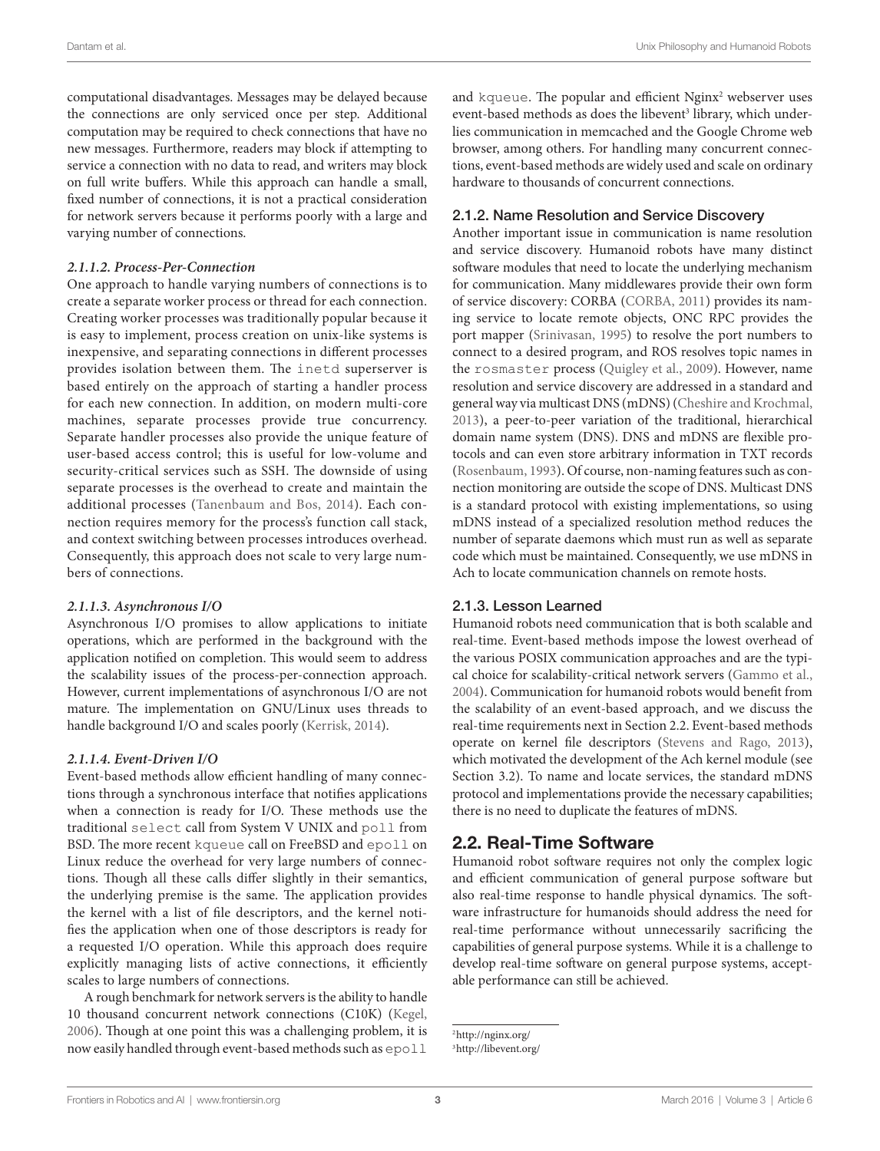computational disadvantages. Messages may be delayed because the connections are only serviced once per step. Additional computation may be required to check connections that have no new messages. Furthermore, readers may block if attempting to service a connection with no data to read, and writers may block on full write buffers. While this approach can handle a small, fixed number of connections, it is not a practical consideration for network servers because it performs poorly with a large and varying number of connections.

#### *2.1.1.2. Process-Per-Connection*

One approach to handle varying numbers of connections is to create a separate worker process or thread for each connection. Creating worker processes was traditionally popular because it is easy to implement, process creation on unix-like systems is inexpensive, and separating connections in different processes provides isolation between them. The inetd superserver is based entirely on the approach of starting a handler process for each new connection. In addition, on modern multi-core machines, separate processes provide true concurrency. Separate handler processes also provide the unique feature of user-based access control; this is useful for low-volume and security-critical services such as SSH. The downside of using separate processes is the overhead to create and maintain the additional processes ([Tanenbaum and Bos, 2014\)](#page-11-2). Each connection requires memory for the process's function call stack, and context switching between processes introduces overhead. Consequently, this approach does not scale to very large numbers of connections.

#### *2.1.1.3. Asynchronous I/O*

Asynchronous I/O promises to allow applications to initiate operations, which are performed in the background with the application notified on completion. This would seem to address the scalability issues of the process-per-connection approach. However, current implementations of asynchronous I/O are not mature. The implementation on GNU/Linux uses threads to handle background I/O and scales poorly [\(Kerrisk, 2014\)](#page-11-6).

#### *2.1.1.4. Event-Driven I/O*

Event-based methods allow efficient handling of many connections through a synchronous interface that notifies applications when a connection is ready for I/O. These methods use the traditional select call from System V UNIX and poll from BSD. The more recent kqueue call on FreeBSD and epoll on Linux reduce the overhead for very large numbers of connections. Though all these calls differ slightly in their semantics, the underlying premise is the same. The application provides the kernel with a list of file descriptors, and the kernel notifies the application when one of those descriptors is ready for a requested I/O operation. While this approach does require explicitly managing lists of active connections, it efficiently scales to large numbers of connections.

A rough benchmark for network servers is the ability to handle 10 thousand concurrent network connections (C10K) [\(Kegel,](#page-11-7) [2006\)](#page-11-7). Though at one point this was a challenging problem, it is now easily handled through event-based methods such as epoll

and kqueue. The popular and efficient [N](#page-2-1)ginx<sup>[2](#page-2-0)</sup> webserver uses event-based methods as does the libevent<sup>3</sup> library, which underlies communication in memcached and the Google Chrome web browser, among others. For handling many concurrent connections, event-based methods are widely used and scale on ordinary hardware to thousands of concurrent connections.

#### 2.1.2. Name Resolution and Service Discovery

Another important issue in communication is name resolution and service discovery. Humanoid robots have many distinct software modules that need to locate the underlying mechanism for communication. Many middlewares provide their own form of service discovery: CORBA [\(CORBA, 2011](#page-10-5)) provides its naming service to locate remote objects, ONC RPC provides the port mapper [\(Srinivasan, 1995](#page-11-8)) to resolve the port numbers to connect to a desired program, and ROS resolves topic names in the rosmaster process ([Quigley et al., 2009\)](#page-11-3). However, name resolution and service discovery are addressed in a standard and general way via multicast DNS (mDNS) ([Cheshire and Krochmal,](#page-10-6)  [2013](#page-10-6)), a peer-to-peer variation of the traditional, hierarchical domain name system (DNS). DNS and mDNS are flexible protocols and can even store arbitrary information in TXT records [\(Rosenbaum, 1993\)](#page-11-9). Of course, non-naming features such as connection monitoring are outside the scope of DNS. Multicast DNS is a standard protocol with existing implementations, so using mDNS instead of a specialized resolution method reduces the number of separate daemons which must run as well as separate code which must be maintained. Consequently, we use mDNS in Ach to locate communication channels on remote hosts.

#### 2.1.3. Lesson Learned

Humanoid robots need communication that is both scalable and real-time. Event-based methods impose the lowest overhead of the various POSIX communication approaches and are the typical choice for scalability-critical network servers ([Gammo et al.,](#page-10-7)  [2004](#page-10-7)). Communication for humanoid robots would benefit from the scalability of an event-based approach, and we discuss the real-time requirements next in Section 2.2. Event-based methods operate on kernel file descriptors [\(Stevens and Rago, 2013](#page-11-10)), which motivated the development of the Ach kernel module (see Section 3.2). To name and locate services, the standard mDNS protocol and implementations provide the necessary capabilities; there is no need to duplicate the features of mDNS.

# 2.2. Real-Time Software

Humanoid robot software requires not only the complex logic and efficient communication of general purpose software but also real-time response to handle physical dynamics. The software infrastructure for humanoids should address the need for real-time performance without unnecessarily sacrificing the capabilities of general purpose systems. While it is a challenge to develop real-time software on general purpose systems, acceptable performance can still be achieved.

<span id="page-2-1"></span><span id="page-2-0"></span><sup>2</sup><http://nginx.org/> 3<http://libevent.org/>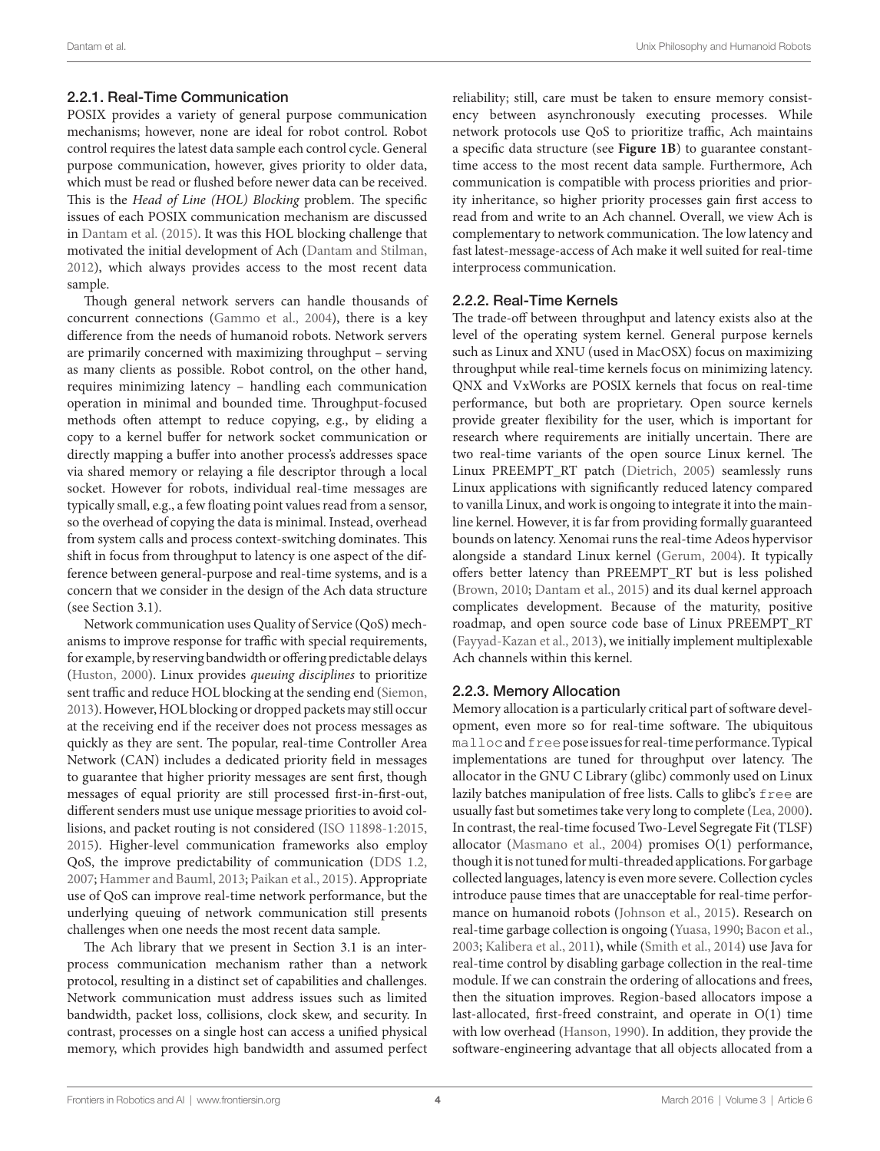### 2.2.1. Real-Time Communication

POSIX provides a variety of general purpose communication mechanisms; however, none are ideal for robot control. Robot control requires the latest data sample each control cycle. General purpose communication, however, gives priority to older data, which must be read or flushed before newer data can be received. This is the *Head of Line (HOL) Blocking* problem. The specific issues of each POSIX communication mechanism are discussed in [Dantam et al. \(2015\).](#page-10-4) It was this HOL blocking challenge that motivated the initial development of Ach ([Dantam and Stilman,](#page-10-3) [2012\)](#page-10-3), which always provides access to the most recent data sample.

Though general network servers can handle thousands of concurrent connections ([Gammo et al., 2004\)](#page-10-7), there is a key difference from the needs of humanoid robots. Network servers are primarily concerned with maximizing throughput – serving as many clients as possible. Robot control, on the other hand, requires minimizing latency – handling each communication operation in minimal and bounded time. Throughput-focused methods often attempt to reduce copying, e.g., by eliding a copy to a kernel buffer for network socket communication or directly mapping a buffer into another process's addresses space via shared memory or relaying a file descriptor through a local socket. However for robots, individual real-time messages are typically small, e.g., a few floating point values read from a sensor, so the overhead of copying the data is minimal. Instead, overhead from system calls and process context-switching dominates. This shift in focus from throughput to latency is one aspect of the difference between general-purpose and real-time systems, and is a concern that we consider in the design of the Ach data structure (see Section 3.1).

Network communication uses Quality of Service (QoS) mechanisms to improve response for traffic with special requirements, for example, by reserving bandwidth or offering predictable delays ([Huston, 2000](#page-11-11)). Linux provides *queuing disciplines* to prioritize sent traffic and reduce HOL blocking at the sending end [\(Siemon,](#page-11-12) [2013\)](#page-11-12). However, HOL blocking or dropped packets may still occur at the receiving end if the receiver does not process messages as quickly as they are sent. The popular, real-time Controller Area Network (CAN) includes a dedicated priority field in messages to guarantee that higher priority messages are sent first, though messages of equal priority are still processed first-in-first-out, different senders must use unique message priorities to avoid collisions, and packet routing is not considered ([ISO 11898-1:2015,](#page-11-13) [2015\)](#page-11-13). Higher-level communication frameworks also employ QoS, the improve predictability of communication [\(DDS 1.2,](#page-10-8) [2007;](#page-10-8) [Hammer and Bauml, 2013;](#page-10-9) [Paikan et al., 2015](#page-11-14)). Appropriate use of QoS can improve real-time network performance, but the underlying queuing of network communication still presents challenges when one needs the most recent data sample.

The Ach library that we present in Section 3.1 is an interprocess communication mechanism rather than a network protocol, resulting in a distinct set of capabilities and challenges. Network communication must address issues such as limited bandwidth, packet loss, collisions, clock skew, and security. In contrast, processes on a single host can access a unified physical memory, which provides high bandwidth and assumed perfect reliability; still, care must be taken to ensure memory consistency between asynchronously executing processes. While network protocols use QoS to prioritize traffic, Ach maintains a specific data structure (see **[Figure 1B](#page-4-0)**) to guarantee constanttime access to the most recent data sample. Furthermore, Ach communication is compatible with process priorities and priority inheritance, so higher priority processes gain first access to read from and write to an Ach channel. Overall, we view Ach is complementary to network communication. The low latency and fast latest-message-access of Ach make it well suited for real-time interprocess communication.

### 2.2.2. Real-Time Kernels

The trade-off between throughput and latency exists also at the level of the operating system kernel. General purpose kernels such as Linux and XNU (used in MacOSX) focus on maximizing throughput while real-time kernels focus on minimizing latency. QNX and VxWorks are POSIX kernels that focus on real-time performance, but both are proprietary. Open source kernels provide greater flexibility for the user, which is important for research where requirements are initially uncertain. There are two real-time variants of the open source Linux kernel. The Linux PREEMPT\_RT patch (Dietrich, 2005) seamlessly runs Linux applications with significantly reduced latency compared to vanilla Linux, and work is ongoing to integrate it into the mainline kernel. However, it is far from providing formally guaranteed bounds on latency. Xenomai runs the real-time Adeos hypervisor alongside a standard Linux kernel ([Gerum, 2004](#page-10-10)). It typically offers better latency than PREEMPT\_RT but is less polished (Brown, 2010; [Dantam et al., 2015](#page-10-4)) and its dual kernel approach complicates development. Because of the maturity, positive roadmap, and open source code base of Linux PREEMPT\_RT [\(Fayyad-Kazan et al., 2013\)](#page-10-11), we initially implement multiplexable Ach channels within this kernel.

### 2.2.3. Memory Allocation

Memory allocation is a particularly critical part of software development, even more so for real-time software. The ubiquitous malloc and free pose issues for real-time performance. Typical implementations are tuned for throughput over latency. The allocator in the GNU C Library (glibc) commonly used on Linux lazily batches manipulation of free lists. Calls to glibc's free are usually fast but sometimes take very long to complete ([Lea, 2000](#page-11-15)). In contrast, the real-time focused Two-Level Segregate Fit (TLSF) allocator [\(Masmano et al., 2004\)](#page-11-16) promises O(1) performance, though it is not tuned for multi-threaded applications. For garbage collected languages, latency is even more severe. Collection cycles introduce pause times that are unacceptable for real-time performance on humanoid robots ([Johnson et al., 2015\)](#page-11-17). Research on real-time garbage collection is ongoing ([Yuasa, 1990;](#page-11-18) [Bacon et al.,](#page-10-12)  [2003](#page-10-12); [Kalibera et al., 2011\)](#page-11-19), while [\(Smith et al., 2014](#page-11-20)) use Java for real-time control by disabling garbage collection in the real-time module. If we can constrain the ordering of allocations and frees, then the situation improves. Region-based allocators impose a last-allocated, first-freed constraint, and operate in O(1) time with low overhead [\(Hanson, 1990\)](#page-10-13). In addition, they provide the software-engineering advantage that all objects allocated from a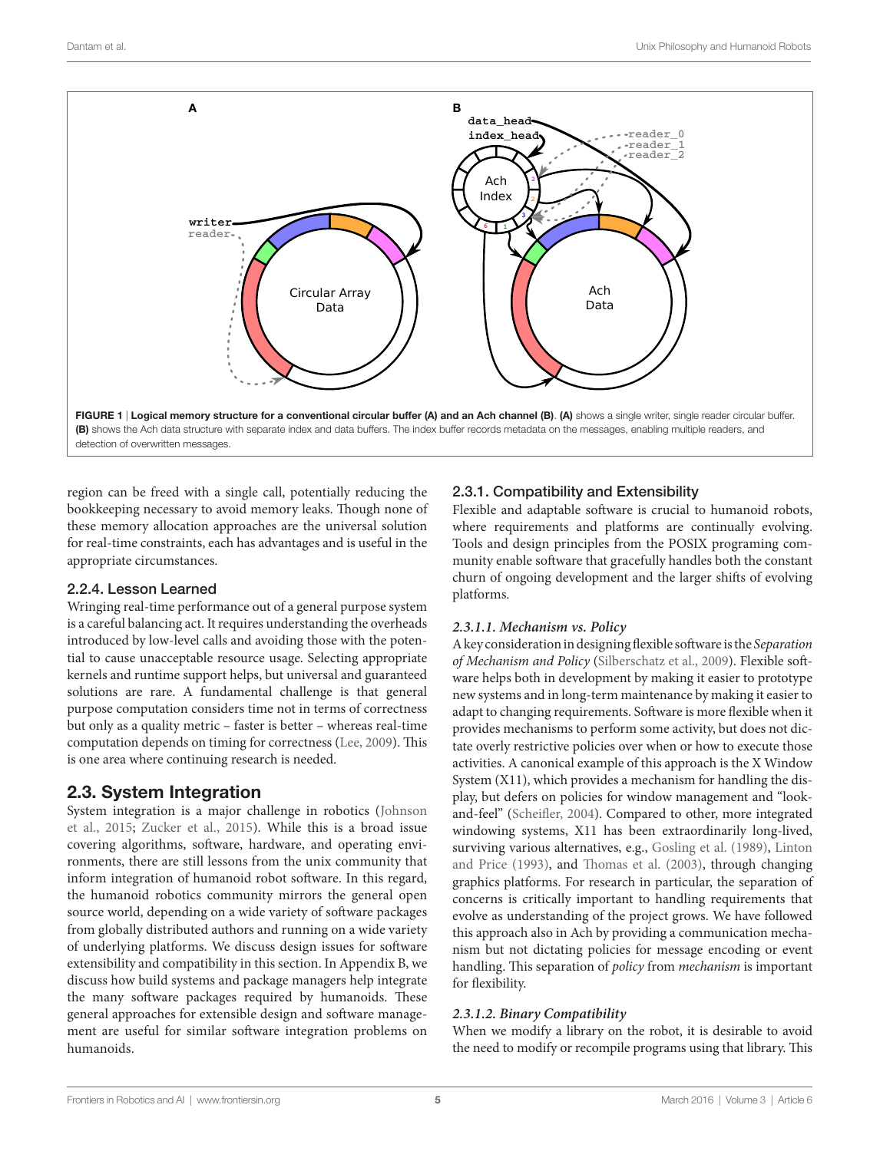

region can be freed with a single call, potentially reducing the bookkeeping necessary to avoid memory leaks. Though none of these memory allocation approaches are the universal solution for real-time constraints, each has advantages and is useful in the appropriate circumstances.

### 2.2.4. Lesson Learned

Wringing real-time performance out of a general purpose system is a careful balancing act. It requires understanding the overheads introduced by low-level calls and avoiding those with the potential to cause unacceptable resource usage. Selecting appropriate kernels and runtime support helps, but universal and guaranteed solutions are rare. A fundamental challenge is that general purpose computation considers time not in terms of correctness but only as a quality metric – faster is better – whereas real-time computation depends on timing for correctness ([Lee, 2009\)](#page-11-21). This is one area where continuing research is needed.

# 2.3. System Integration

System integration is a major challenge in robotics [\(Johnson](#page-11-17) [et al., 2015;](#page-11-17) [Zucker et al., 2015](#page-11-22)). While this is a broad issue covering algorithms, software, hardware, and operating environments, there are still lessons from the unix community that inform integration of humanoid robot software. In this regard, the humanoid robotics community mirrors the general open source world, depending on a wide variety of software packages from globally distributed authors and running on a wide variety of underlying platforms. We discuss design issues for software extensibility and compatibility in this section. In Appendix B, we discuss how build systems and package managers help integrate the many software packages required by humanoids. These general approaches for extensible design and software management are useful for similar software integration problems on humanoids.

# <span id="page-4-0"></span>2.3.1. Compatibility and Extensibility

Flexible and adaptable software is crucial to humanoid robots, where requirements and platforms are continually evolving. Tools and design principles from the POSIX programing community enable software that gracefully handles both the constant churn of ongoing development and the larger shifts of evolving platforms.

### *2.3.1.1. Mechanism vs. Policy*

A key consideration in designing flexible software is the *Separation of Mechanism and Policy* ([Silberschatz et al., 2009](#page-11-23)). Flexible software helps both in development by making it easier to prototype new systems and in long-term maintenance by making it easier to adapt to changing requirements. Software is more flexible when it provides mechanisms to perform some activity, but does not dictate overly restrictive policies over when or how to execute those activities. A canonical example of this approach is the X Window System (X11), which provides a mechanism for handling the display, but defers on policies for window management and "lookand-feel" ([Scheifler, 2004](#page-11-24)). Compared to other, more integrated windowing systems, X11 has been extraordinarily long-lived, surviving various alternatives, e.g., [Gosling et al. \(1989\),](#page-10-14) [Linton](#page-11-25)  [and Price \(1993\)](#page-11-25), and [Thomas et al. \(2003\)](#page-11-26), through changing graphics platforms. For research in particular, the separation of concerns is critically important to handling requirements that evolve as understanding of the project grows. We have followed this approach also in Ach by providing a communication mechanism but not dictating policies for message encoding or event handling. This separation of *policy* from *mechanism* is important for flexibility.

### *2.3.1.2. Binary Compatibility*

When we modify a library on the robot, it is desirable to avoid the need to modify or recompile programs using that library. This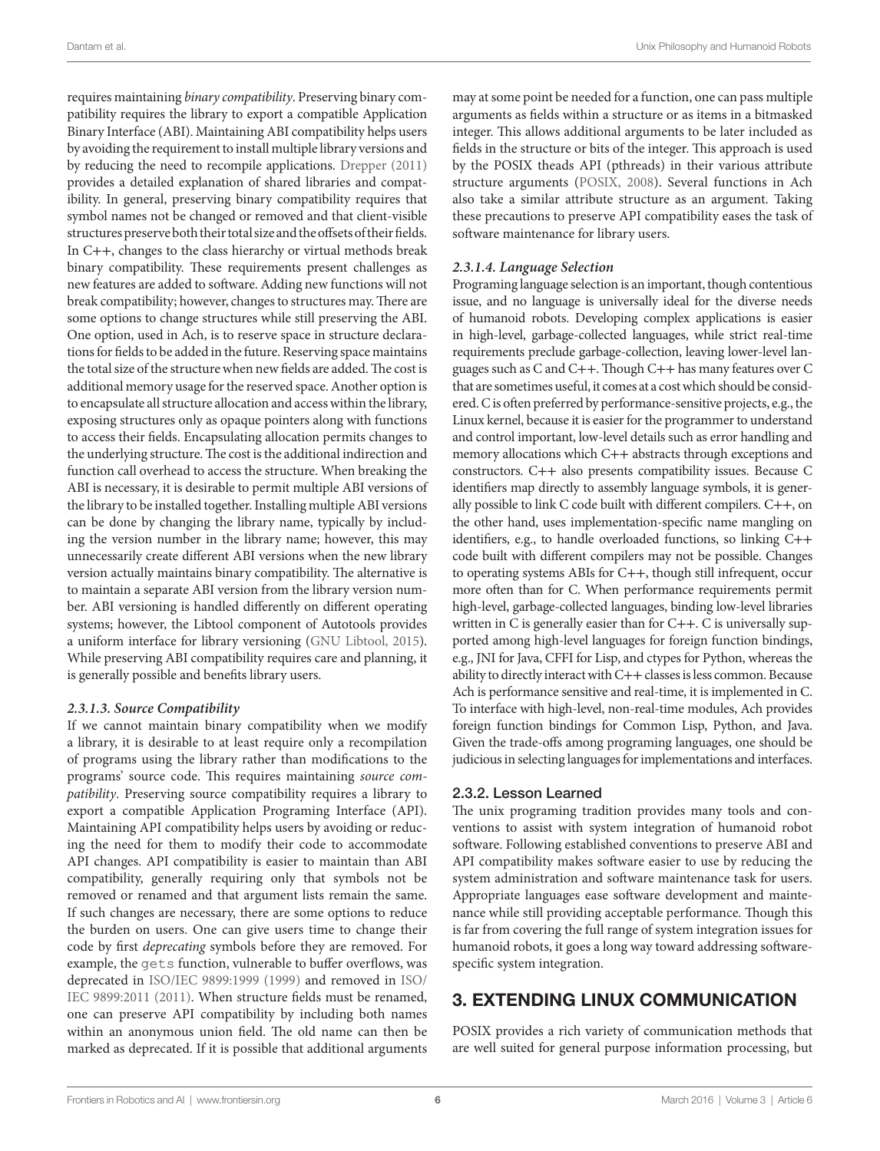requires maintaining *binary compatibility*. Preserving binary compatibility requires the library to export a compatible Application Binary Interface (ABI). Maintaining ABI compatibility helps users by avoiding the requirement to install multiple library versions and by reducing the need to recompile applications. [Drepper \(2011\)](#page-10-15) provides a detailed explanation of shared libraries and compatibility. In general, preserving binary compatibility requires that symbol names not be changed or removed and that client-visible structures preserve both their total size and the offsets of their fields. In C++, changes to the class hierarchy or virtual methods break binary compatibility. These requirements present challenges as new features are added to software. Adding new functions will not break compatibility; however, changes to structures may. There are some options to change structures while still preserving the ABI. One option, used in Ach, is to reserve space in structure declarations for fields to be added in the future. Reserving space maintains the total size of the structure when new fields are added. The cost is additional memory usage for the reserved space. Another option is to encapsulate all structure allocation and access within the library, exposing structures only as opaque pointers along with functions to access their fields. Encapsulating allocation permits changes to the underlying structure. The cost is the additional indirection and function call overhead to access the structure. When breaking the ABI is necessary, it is desirable to permit multiple ABI versions of the library to be installed together. Installing multiple ABI versions can be done by changing the library name, typically by including the version number in the library name; however, this may unnecessarily create different ABI versions when the new library version actually maintains binary compatibility. The alternative is to maintain a separate ABI version from the library version number. ABI versioning is handled differently on different operating systems; however, the Libtool component of Autotools provides a uniform interface for library versioning [\(GNU Libtool, 2015\)](#page-10-16). While preserving ABI compatibility requires care and planning, it is generally possible and benefits library users.

#### *2.3.1.3. Source Compatibility*

If we cannot maintain binary compatibility when we modify a library, it is desirable to at least require only a recompilation of programs using the library rather than modifications to the programs' source code. This requires maintaining *source compatibility*. Preserving source compatibility requires a library to export a compatible Application Programing Interface (API). Maintaining API compatibility helps users by avoiding or reducing the need for them to modify their code to accommodate API changes. API compatibility is easier to maintain than ABI compatibility, generally requiring only that symbols not be removed or renamed and that argument lists remain the same. If such changes are necessary, there are some options to reduce the burden on users. One can give users time to change their code by first *deprecating* symbols before they are removed. For example, the gets function, vulnerable to buffer overflows, was deprecated in [ISO/IEC 9899:1999 \(1999\)](#page-11-27) and removed in [ISO/](#page-11-28) [IEC 9899:2011 \(2011\)](#page-11-28). When structure fields must be renamed, one can preserve API compatibility by including both names within an anonymous union field. The old name can then be marked as deprecated. If it is possible that additional arguments may at some point be needed for a function, one can pass multiple arguments as fields within a structure or as items in a bitmasked integer. This allows additional arguments to be later included as fields in the structure or bits of the integer. This approach is used by the POSIX theads API (pthreads) in their various attribute structure arguments ([POSIX, 2008](#page-11-0)). Several functions in Ach also take a similar attribute structure as an argument. Taking these precautions to preserve API compatibility eases the task of software maintenance for library users.

#### *2.3.1.4. Language Selection*

Programing language selection is an important, though contentious issue, and no language is universally ideal for the diverse needs of humanoid robots. Developing complex applications is easier in high-level, garbage-collected languages, while strict real-time requirements preclude garbage-collection, leaving lower-level languages such as C and C++. Though C++ has many features over C that are sometimes useful, it comes at a cost which should be considered. C is often preferred by performance-sensitive projects, e.g., the Linux kernel, because it is easier for the programmer to understand and control important, low-level details such as error handling and memory allocations which C++ abstracts through exceptions and constructors. C++ also presents compatibility issues. Because C identifiers map directly to assembly language symbols, it is generally possible to link C code built with different compilers. C++, on the other hand, uses implementation-specific name mangling on identifiers, e.g., to handle overloaded functions, so linking C++ code built with different compilers may not be possible. Changes to operating systems ABIs for C++, though still infrequent, occur more often than for C. When performance requirements permit high-level, garbage-collected languages, binding low-level libraries written in C is generally easier than for C++. C is universally supported among high-level languages for foreign function bindings, e.g., JNI for Java, CFFI for Lisp, and ctypes for Python, whereas the ability to directly interact with C++ classes is less common. Because Ach is performance sensitive and real-time, it is implemented in C. To interface with high-level, non-real-time modules, Ach provides foreign function bindings for Common Lisp, Python, and Java. Given the trade-offs among programing languages, one should be judicious in selecting languages for implementations and interfaces.

#### 2.3.2. Lesson Learned

The unix programing tradition provides many tools and conventions to assist with system integration of humanoid robot software. Following established conventions to preserve ABI and API compatibility makes software easier to use by reducing the system administration and software maintenance task for users. Appropriate languages ease software development and maintenance while still providing acceptable performance. Though this is far from covering the full range of system integration issues for humanoid robots, it goes a long way toward addressing softwarespecific system integration.

# 3. EXTENDING LINUX COMMUNICATION

POSIX provides a rich variety of communication methods that are well suited for general purpose information processing, but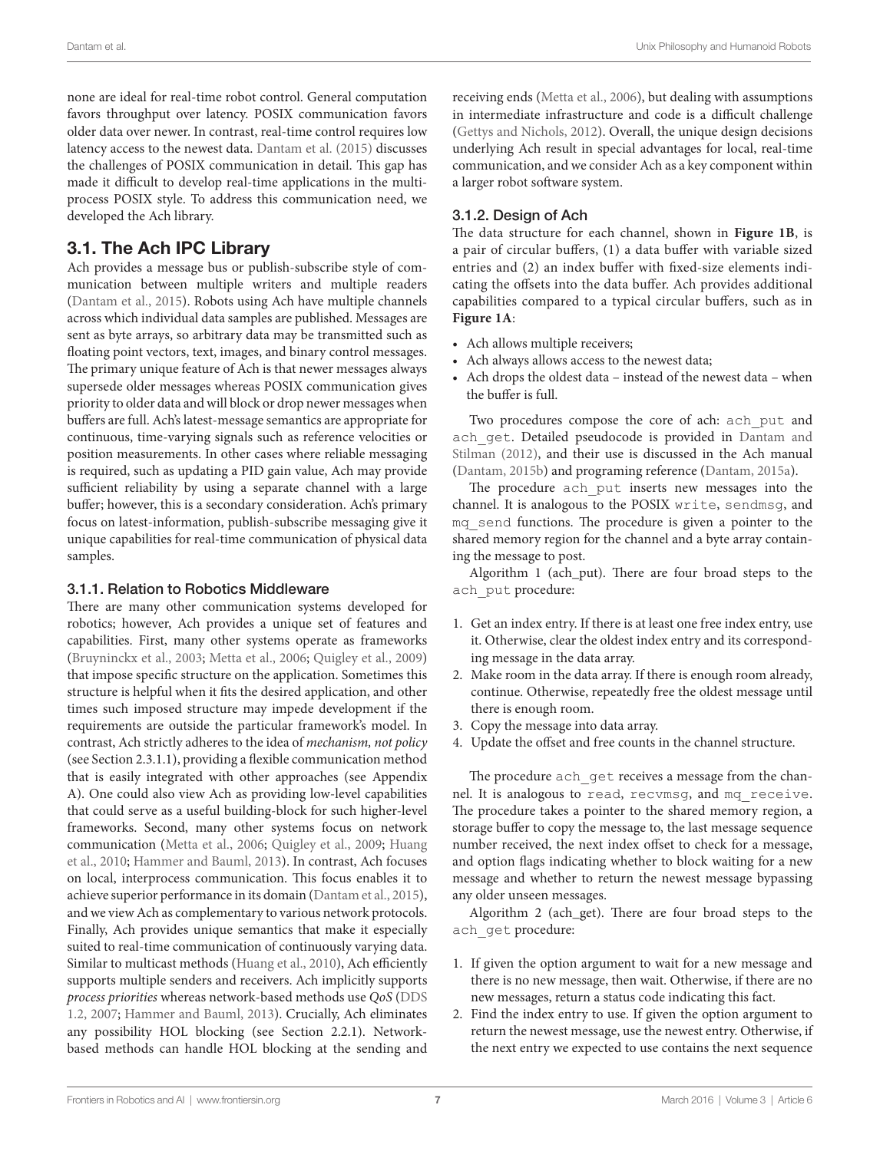none are ideal for real-time robot control. General computation favors throughput over latency. POSIX communication favors older data over newer. In contrast, real-time control requires low latency access to the newest data. [Dantam et al. \(2015\)](#page-10-4) discusses the challenges of POSIX communication in detail. This gap has made it difficult to develop real-time applications in the multiprocess POSIX style. To address this communication need, we developed the Ach library.

# 3.1. The Ach IPC Library

Ach provides a message bus or publish-subscribe style of communication between multiple writers and multiple readers ([Dantam et al., 2015](#page-10-4)). Robots using Ach have multiple channels across which individual data samples are published. Messages are sent as byte arrays, so arbitrary data may be transmitted such as floating point vectors, text, images, and binary control messages. The primary unique feature of Ach is that newer messages always supersede older messages whereas POSIX communication gives priority to older data and will block or drop newer messages when buffers are full. Ach's latest-message semantics are appropriate for continuous, time-varying signals such as reference velocities or position measurements. In other cases where reliable messaging is required, such as updating a PID gain value, Ach may provide sufficient reliability by using a separate channel with a large buffer; however, this is a secondary consideration. Ach's primary focus on latest-information, publish-subscribe messaging give it unique capabilities for real-time communication of physical data samples.

#### 3.1.1. Relation to Robotics Middleware

There are many other communication systems developed for robotics; however, Ach provides a unique set of features and capabilities. First, many other systems operate as frameworks ([Bruyninckx et al., 2003;](#page-10-0) [Metta et al., 2006](#page-11-29); [Quigley et al., 2009\)](#page-11-3) that impose specific structure on the application. Sometimes this structure is helpful when it fits the desired application, and other times such imposed structure may impede development if the requirements are outside the particular framework's model. In contrast, Ach strictly adheres to the idea of *mechanism, not policy* (see Section 2.3.1.1), providing a flexible communication method that is easily integrated with other approaches (see Appendix A). One could also view Ach as providing low-level capabilities that could serve as a useful building-block for such higher-level frameworks. Second, many other systems focus on network communication ([Metta et al., 2006;](#page-11-29) [Quigley et al., 2009](#page-11-3); [Huang](#page-10-17) [et al., 2010;](#page-10-17) [Hammer and Bauml, 2013\)](#page-10-9). In contrast, Ach focuses on local, interprocess communication. This focus enables it to achieve superior performance in its domain [\(Dantam et al., 2015\)](#page-10-4), and we view Ach as complementary to various network protocols. Finally, Ach provides unique semantics that make it especially suited to real-time communication of continuously varying data. Similar to multicast methods ([Huang et al., 2010\)](#page-10-17), Ach efficiently supports multiple senders and receivers. Ach implicitly supports *process priorities* whereas network-based methods use *QoS* ([DDS](#page-10-8) [1.2, 2007;](#page-10-8) [Hammer and Bauml, 2013\)](#page-10-9). Crucially, Ach eliminates any possibility HOL blocking (see Section 2.2.1). Networkbased methods can handle HOL blocking at the sending and

receiving ends [\(Metta et al., 2006\)](#page-11-29), but dealing with assumptions in intermediate infrastructure and code is a difficult challenge [\(Gettys and Nichols, 2012](#page-10-18)). Overall, the unique design decisions underlying Ach result in special advantages for local, real-time communication, and we consider Ach as a key component within a larger robot software system.

### 3.1.2. Design of Ach

The data structure for each channel, shown in **[Figure 1B](#page-4-0)**, is a pair of circular buffers, (1) a data buffer with variable sized entries and (2) an index buffer with fixed-size elements indicating the offsets into the data buffer. Ach provides additional capabilities compared to a typical circular buffers, such as in **[Figure 1A](#page-4-0)**:

- Ach allows multiple receivers;
- • Ach always allows access to the newest data;
- • Ach drops the oldest data instead of the newest data when the buffer is full.

Two procedures compose the core of ach: ach put and ach get. Detailed pseudocode is provided in Dantam and [Stilman \(2012\),](#page-10-3) and their use is discussed in the Ach manual [\(Dantam, 2015b\)](#page-10-19) and programing reference [\(Dantam, 2015a\)](#page-10-20).

The procedure ach put inserts new messages into the channel. It is analogous to the POSIX write, sendmsg, and mq\_send functions. The procedure is given a pointer to the shared memory region for the channel and a byte array containing the message to post.

Algorithm 1 (ach\_put). There are four broad steps to the ach put procedure:

- 1. Get an index entry. If there is at least one free index entry, use it. Otherwise, clear the oldest index entry and its corresponding message in the data array.
- 2. Make room in the data array. If there is enough room already, continue. Otherwise, repeatedly free the oldest message until there is enough room.
- 3. Copy the message into data array.
- 4. Update the offset and free counts in the channel structure.

The procedure ach get receives a message from the channel. It is analogous to read, recvmsg, and mq\_receive. The procedure takes a pointer to the shared memory region, a storage buffer to copy the message to, the last message sequence number received, the next index offset to check for a message, and option flags indicating whether to block waiting for a new message and whether to return the newest message bypassing any older unseen messages.

Algorithm 2 (ach\_get). There are four broad steps to the ach get procedure:

- 1. If given the option argument to wait for a new message and there is no new message, then wait. Otherwise, if there are no new messages, return a status code indicating this fact.
- 2. Find the index entry to use. If given the option argument to return the newest message, use the newest entry. Otherwise, if the next entry we expected to use contains the next sequence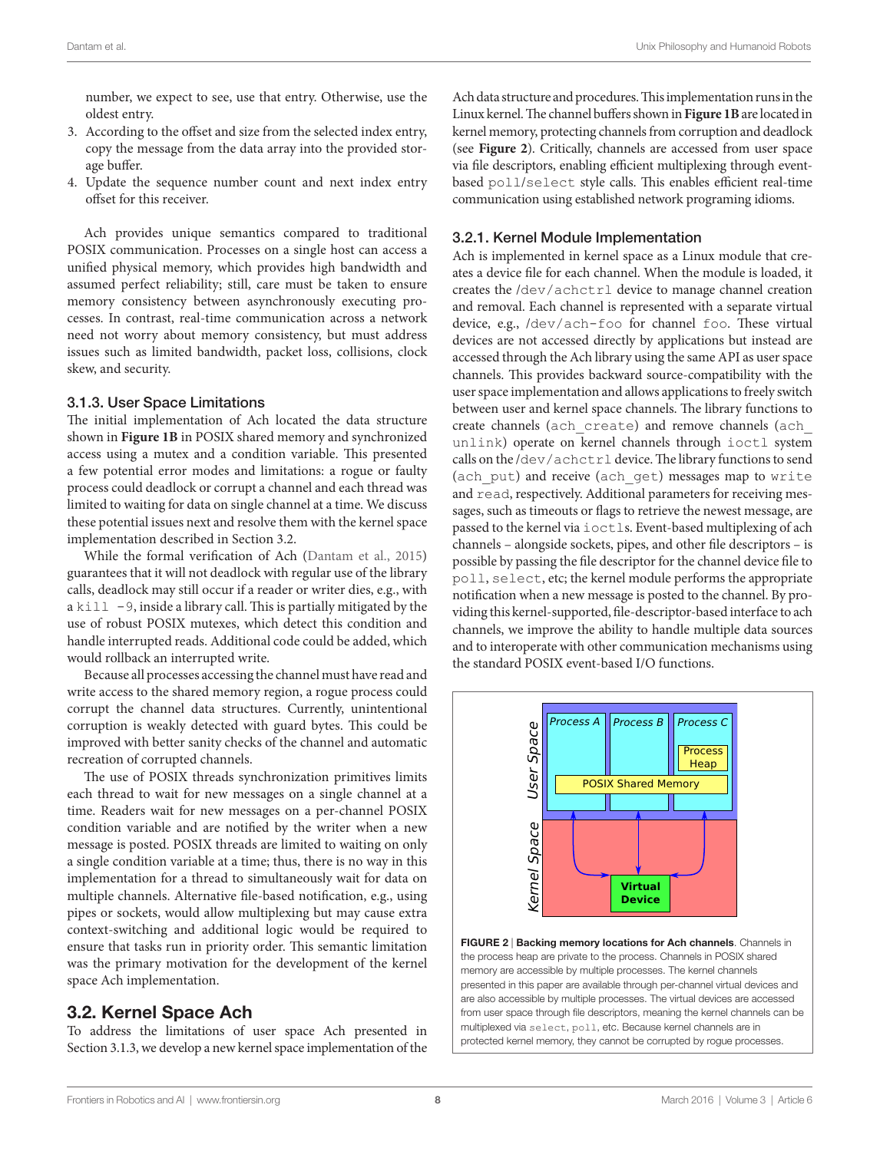number, we expect to see, use that entry. Otherwise, use the oldest entry.

- 3. According to the offset and size from the selected index entry, copy the message from the data array into the provided storage buffer.
- 4. Update the sequence number count and next index entry offset for this receiver.

Ach provides unique semantics compared to traditional POSIX communication. Processes on a single host can access a unified physical memory, which provides high bandwidth and assumed perfect reliability; still, care must be taken to ensure memory consistency between asynchronously executing processes. In contrast, real-time communication across a network need not worry about memory consistency, but must address issues such as limited bandwidth, packet loss, collisions, clock skew, and security.

#### 3.1.3. User Space Limitations

The initial implementation of Ach located the data structure shown in **[Figure 1B](#page-4-0)** in POSIX shared memory and synchronized access using a mutex and a condition variable. This presented a few potential error modes and limitations: a rogue or faulty process could deadlock or corrupt a channel and each thread was limited to waiting for data on single channel at a time. We discuss these potential issues next and resolve them with the kernel space implementation described in Section 3.2.

While the formal verification of Ach [\(Dantam et al., 2015\)](#page-10-4) guarantees that it will not deadlock with regular use of the library calls, deadlock may still occur if a reader or writer dies, e.g., with a  $k$ ill  $-9$ , inside a library call. This is partially mitigated by the use of robust POSIX mutexes, which detect this condition and handle interrupted reads. Additional code could be added, which would rollback an interrupted write.

Because all processes accessing the channel must have read and write access to the shared memory region, a rogue process could corrupt the channel data structures. Currently, unintentional corruption is weakly detected with guard bytes. This could be improved with better sanity checks of the channel and automatic recreation of corrupted channels.

The use of POSIX threads synchronization primitives limits each thread to wait for new messages on a single channel at a time. Readers wait for new messages on a per-channel POSIX condition variable and are notified by the writer when a new message is posted. POSIX threads are limited to waiting on only a single condition variable at a time; thus, there is no way in this implementation for a thread to simultaneously wait for data on multiple channels. Alternative file-based notification, e.g., using pipes or sockets, would allow multiplexing but may cause extra context-switching and additional logic would be required to ensure that tasks run in priority order. This semantic limitation was the primary motivation for the development of the kernel space Ach implementation.

# 3.2. Kernel Space Ach

To address the limitations of user space Ach presented in Section 3.1.3, we develop a new kernel space implementation of the

Ach data structure and procedures. This implementation runs in the Linux kernel. The channel buffers shown in **[Figure 1B](#page-4-0)** are located in kernel memory, protecting channels from corruption and deadlock (see **[Figure 2](#page-7-0)**). Critically, channels are accessed from user space via file descriptors, enabling efficient multiplexing through eventbased poll/select style calls. This enables efficient real-time communication using established network programing idioms.

#### 3.2.1. Kernel Module Implementation

Ach is implemented in kernel space as a Linux module that creates a device file for each channel. When the module is loaded, it creates the /dev/achctrl device to manage channel creation and removal. Each channel is represented with a separate virtual device, e.g., /dev/ach-foo for channel foo. These virtual devices are not accessed directly by applications but instead are accessed through the Ach library using the same API as user space channels. This provides backward source-compatibility with the user space implementation and allows applications to freely switch between user and kernel space channels. The library functions to create channels (ach\_create) and remove channels (ach\_ unlink) operate on kernel channels through ioctl system calls on the /dev/achctrl device. The library functions to send (ach\_put) and receive (ach\_get) messages map to write and read, respectively. Additional parameters for receiving messages, such as timeouts or flags to retrieve the newest message, are passed to the kernel via ioctls. Event-based multiplexing of ach channels – alongside sockets, pipes, and other file descriptors – is possible by passing the file descriptor for the channel device file to poll, select, etc; the kernel module performs the appropriate notification when a new message is posted to the channel. By providing this kernel-supported, file-descriptor-based interface to ach channels, we improve the ability to handle multiple data sources and to interoperate with other communication mechanisms using the standard POSIX event-based I/O functions.



<span id="page-7-0"></span>FIGURE 2 | Backing memory locations for Ach channels. Channels in the process heap are private to the process. Channels in POSIX shared memory are accessible by multiple processes. The kernel channels presented in this paper are available through per-channel virtual devices and are also accessible by multiple processes. The virtual devices are accessed from user space through file descriptors, meaning the kernel channels can be multiplexed via select, poll, etc. Because kernel channels are in protected kernel memory, they cannot be corrupted by rogue processes.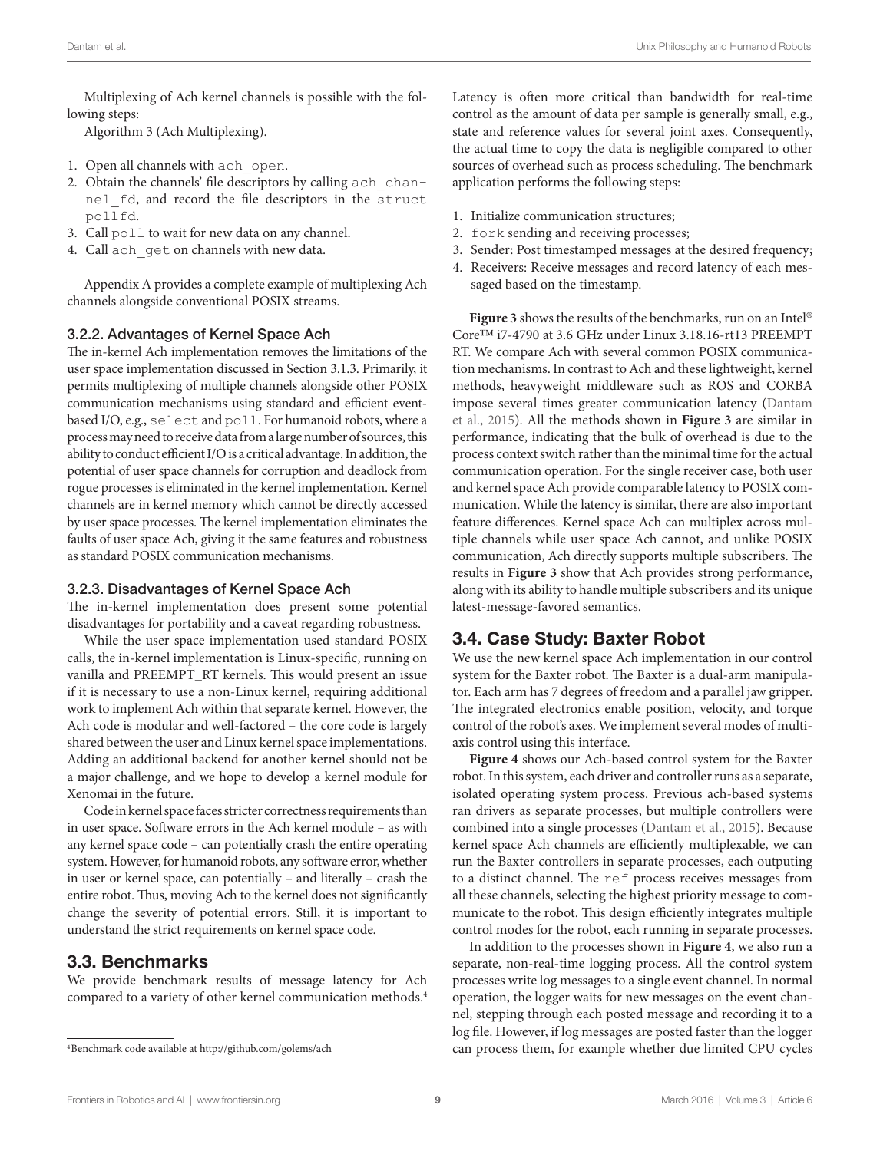Multiplexing of Ach kernel channels is possible with the following steps:

Algorithm 3 (Ach Multiplexing).

- 1. Open all channels with ach\_open.
- 2. Obtain the channels' file descriptors by calling ach channel\_fd, and record the file descriptors in the struct pollfd.
- 3. Call poll to wait for new data on any channel.
- 4. Call ach get on channels with new data.

Appendix A provides a complete example of multiplexing Ach channels alongside conventional POSIX streams.

#### 3.2.2. Advantages of Kernel Space Ach

The in-kernel Ach implementation removes the limitations of the user space implementation discussed in Section 3.1.3. Primarily, it permits multiplexing of multiple channels alongside other POSIX communication mechanisms using standard and efficient eventbased I/O, e.g., select and poll. For humanoid robots, where a process may need to receive data from a large number of sources, this ability to conduct efficient I/O is a critical advantage. In addition, the potential of user space channels for corruption and deadlock from rogue processes is eliminated in the kernel implementation. Kernel channels are in kernel memory which cannot be directly accessed by user space processes. The kernel implementation eliminates the faults of user space Ach, giving it the same features and robustness as standard POSIX communication mechanisms.

#### 3.2.3. Disadvantages of Kernel Space Ach

The in-kernel implementation does present some potential disadvantages for portability and a caveat regarding robustness.

While the user space implementation used standard POSIX calls, the in-kernel implementation is Linux-specific, running on vanilla and PREEMPT\_RT kernels. This would present an issue if it is necessary to use a non-Linux kernel, requiring additional work to implement Ach within that separate kernel. However, the Ach code is modular and well-factored – the core code is largely shared between the user and Linux kernel space implementations. Adding an additional backend for another kernel should not be a major challenge, and we hope to develop a kernel module for Xenomai in the future.

Code in kernel space faces stricter correctness requirements than in user space. Software errors in the Ach kernel module – as with any kernel space code – can potentially crash the entire operating system. However, for humanoid robots, any software error, whether in user or kernel space, can potentially – and literally – crash the entire robot. Thus, moving Ach to the kernel does not significantly change the severity of potential errors. Still, it is important to understand the strict requirements on kernel space code.

# 3.3. Benchmarks

We provide benchmark results of message latency for Ach compared to a variety of other kernel communication methods.[4](#page-8-0)

Latency is often more critical than bandwidth for real-time control as the amount of data per sample is generally small, e.g., state and reference values for several joint axes. Consequently, the actual time to copy the data is negligible compared to other sources of overhead such as process scheduling. The benchmark application performs the following steps:

- 1. Initialize communication structures;
- 2. fork sending and receiving processes;
- 3. Sender: Post timestamped messages at the desired frequency;
- 4. Receivers: Receive messages and record latency of each messaged based on the timestamp.

**[Figure 3](#page-9-0)** shows the results of the benchmarks, run on an Intel® Core™ i7-4790 at 3.6 GHz under Linux 3.18.16-rt13 PREEMPT RT. We compare Ach with several common POSIX communication mechanisms. In contrast to Ach and these lightweight, kernel methods, heavyweight middleware such as ROS and CORBA impose several times greater communication latency ([Dantam](#page-10-4)  [et al., 2015](#page-10-4)). All the methods shown in **[Figure 3](#page-9-0)** are similar in performance, indicating that the bulk of overhead is due to the process context switch rather than the minimal time for the actual communication operation. For the single receiver case, both user and kernel space Ach provide comparable latency to POSIX communication. While the latency is similar, there are also important feature differences. Kernel space Ach can multiplex across multiple channels while user space Ach cannot, and unlike POSIX communication, Ach directly supports multiple subscribers. The results in **[Figure 3](#page-9-0)** show that Ach provides strong performance, along with its ability to handle multiple subscribers and its unique latest-message-favored semantics.

# 3.4. Case Study: Baxter Robot

We use the new kernel space Ach implementation in our control system for the Baxter robot. The Baxter is a dual-arm manipulator. Each arm has 7 degrees of freedom and a parallel jaw gripper. The integrated electronics enable position, velocity, and torque control of the robot's axes. We implement several modes of multiaxis control using this interface.

**[Figure 4](#page-9-1)** shows our Ach-based control system for the Baxter robot. In this system, each driver and controller runs as a separate, isolated operating system process. Previous ach-based systems ran drivers as separate processes, but multiple controllers were combined into a single processes ([Dantam et al., 2015](#page-10-4)). Because kernel space Ach channels are efficiently multiplexable, we can run the Baxter controllers in separate processes, each outputing to a distinct channel. The ref process receives messages from all these channels, selecting the highest priority message to communicate to the robot. This design efficiently integrates multiple control modes for the robot, each running in separate processes.

In addition to the processes shown in **[Figure 4](#page-9-1)**, we also run a separate, non-real-time logging process. All the control system processes write log messages to a single event channel. In normal operation, the logger waits for new messages on the event channel, stepping through each posted message and recording it to a log file. However, if log messages are posted faster than the logger can process them, for example whether due limited CPU cycles

<span id="page-8-0"></span><sup>4</sup>Benchmark code available at<http://github.com/golems/ach>

[Frontiers in Robotics and AI](http://www.frontiersin.org/Robotics_and_AI) | [www.frontiersin.org](http://www.frontiersin.org)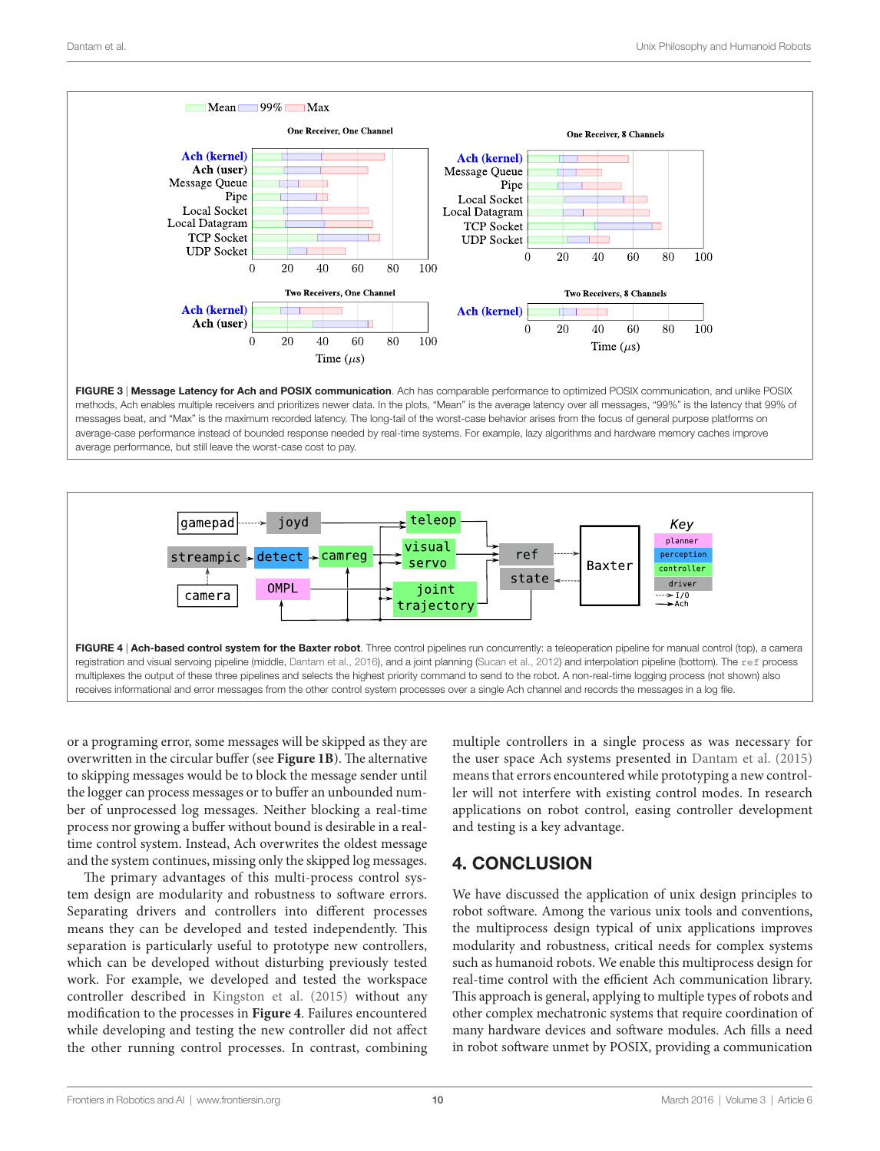

<span id="page-9-0"></span>FIGURE 3 | Message Latency for Ach and POSIX communication. Ach has comparable performance to optimized POSIX communication, and unlike POSIX methods, Ach enables multiple receivers and prioritizes newer data. In the plots, "Mean" is the average latency over all messages, "99%" is the latency that 99% of messages beat, and "Max" is the maximum recorded latency. The long-tail of the worst-case behavior arises from the focus of general purpose platforms on average-case performance instead of bounded response needed by real-time systems. For example, lazy algorithms and hardware memory caches improve average performance, but still leave the worst-case cost to pay.



<span id="page-9-1"></span>or a programing error, some messages will be skipped as they are overwritten in the circular buffer (see **[Figure 1B](#page-4-0)**). The alternative to skipping messages would be to block the message sender until the logger can process messages or to buffer an unbounded number of unprocessed log messages. Neither blocking a real-time process nor growing a buffer without bound is desirable in a realtime control system. Instead, Ach overwrites the oldest message and the system continues, missing only the skipped log messages.

The primary advantages of this multi-process control system design are modularity and robustness to software errors. Separating drivers and controllers into different processes means they can be developed and tested independently. This separation is particularly useful to prototype new controllers, which can be developed without disturbing previously tested work. For example, we developed and tested the workspace controller described in Kingston et al. (2015) without any modification to the processes in **[Figure 4](#page-9-1)**. Failures encountered while developing and testing the new controller did not affect the other running control processes. In contrast, combining multiple controllers in a single process as was necessary for the user space Ach systems presented in [Dantam et al. \(2015\)](#page-10-4) means that errors encountered while prototyping a new controller will not interfere with existing control modes. In research applications on robot control, easing controller development and testing is a key advantage.

# 4. CONCLUSION

We have discussed the application of unix design principles to robot software. Among the various unix tools and conventions, the multiprocess design typical of unix applications improves modularity and robustness, critical needs for complex systems such as humanoid robots. We enable this multiprocess design for real-time control with the efficient Ach communication library. This approach is general, applying to multiple types of robots and other complex mechatronic systems that require coordination of many hardware devices and software modules. Ach fills a need in robot software unmet by POSIX, providing a communication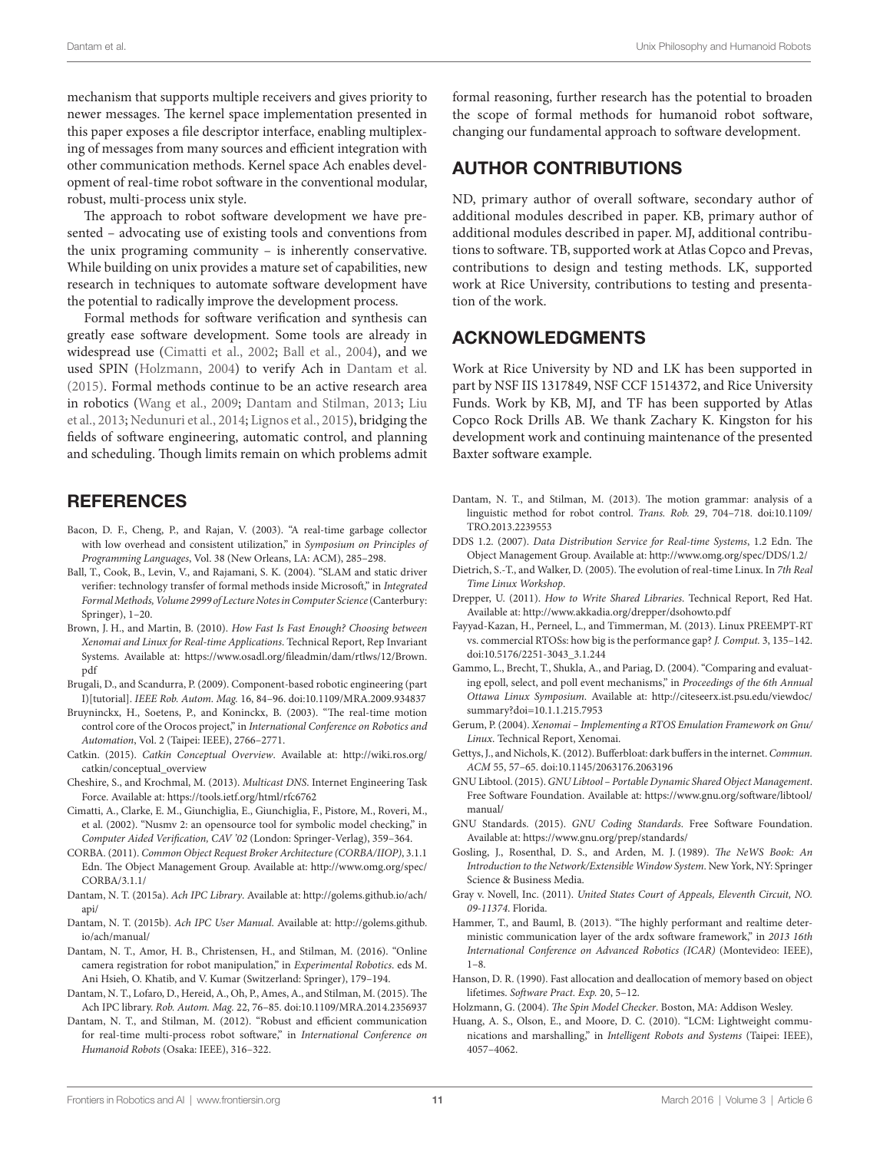mechanism that supports multiple receivers and gives priority to newer messages. The kernel space implementation presented in this paper exposes a file descriptor interface, enabling multiplexing of messages from many sources and efficient integration with other communication methods. Kernel space Ach enables development of real-time robot software in the conventional modular, robust, multi-process unix style.

The approach to robot software development we have presented – advocating use of existing tools and conventions from the unix programing community – is inherently conservative. While building on unix provides a mature set of capabilities, new research in techniques to automate software development have the potential to radically improve the development process.

Formal methods for software verification and synthesis can greatly ease software development. Some tools are already in widespread use [\(Cimatti et al., 2002](#page-10-22); [Ball et al., 2004](#page-10-23)), and we used SPIN [\(Holzmann, 2004\)](#page-10-24) to verify Ach in [Dantam et al.](#page-10-4) [\(2015\)](#page-10-4). Formal methods continue to be an active research area in robotics ([Wang et al., 2009](#page-11-31); [Dantam and Stilman, 2013](#page-10-25); [Liu](#page-11-32) [et al., 2013;](#page-11-32) [Nedunuri et al., 2014;](#page-11-33) [Lignos et al., 2015](#page-11-34)), bridging the fields of software engineering, automatic control, and planning and scheduling. Though limits remain on which problems admit

# **REFERENCES**

- <span id="page-10-12"></span>Bacon, D. F., Cheng, P., and Rajan, V. (2003). "A real-time garbage collector with low overhead and consistent utilization," in *Symposium on Principles of Programming Languages*, Vol. 38 (New Orleans, LA: ACM), 285–298.
- <span id="page-10-23"></span>Ball, T., Cook, B., Levin, V., and Rajamani, S. K. (2004). "SLAM and static driver verifier: technology transfer of formal methods inside Microsoft," in *Integrated Formal Methods, Volume 2999 of Lecture Notes in Computer Science* (Canterbury: Springer), 1–20.
- [Brown, J.](https://www.osadl.org/fileadmin/dam/rtlws/12/Brown.pdf) H., and Martin, B. (2010). *How Fast Is Fast Enough? Choosing between Xenomai and Linux for Real-time Applications*. Technical Report, Rep Invariant Systems. Available at: https://www.osadl.org/fileadmin/dam/rtlws/12/Brown. pdf
- <span id="page-10-1"></span>Brugali, D., and Scandurra, P. (2009). Component-based robotic engineering (part I)[tutorial]. *IEEE Rob. Autom. Mag.* 16, 84–96. doi:[10.1109/MRA.2009.934837](http://dx.doi.org/10.1109/MRA.2009.934837)
- <span id="page-10-0"></span>Bruyninckx, H., Soetens, P., and Koninckx, B. (2003). "The real-time motion control core of the Orocos project," in *International Conference on Robotics and Automation*, Vol. 2 (Taipei: IEEE), 2766–2771.
- <span id="page-10-27"></span>[Catkin.](http://wiki.ros.org/catkin/conceptual_overview) (2015). *Catkin Conceptual Overview*. Available at: http://wiki.ros.org/ catkin/conceptual\_overview
- <span id="page-10-6"></span>[Cheshire, S., and Krochmal, M.](https://tools.ietf.org/html/rfc6762) (2013). *Multicast DNS*. Internet Engineering Task Force. Available at: https://tools.ietf.org/html/rfc6762
- <span id="page-10-22"></span>Cimatti, A., Clarke, E. M., Giunchiglia, E., Giunchiglia, F., Pistore, M., Roveri, M., et al. (2002). "Nusmv 2: an opensource tool for symbolic model checking," in *Computer Aided Verification, CAV '02* (London: Springer-Verlag), 359–364.
- <span id="page-10-5"></span>[CORBA.](http://www.omg.org/spec/CORBA/3.1.1/) (2011). *Common Object Request Broker Architecture (CORBA/IIOP)*, 3.1.1 Edn. The Object Management Group. Available at: http://www.omg.org/spec/ CORBA/3.1.1/
- <span id="page-10-20"></span>[Dantam, N. T](http://golems.github.io/ach/api/). (2015a). *Ach IPC Library*. Available at: http://golems.github.io/ach/ api/
- <span id="page-10-19"></span>[Dantam, N. T.](http://golems.github.io/ach/manual/) (2015b). *Ach IPC User Manual*. Available at: http://golems.github. io/ach/manual/
- <span id="page-10-21"></span>Dantam, N. T., Amor, H. B., Christensen, H., and Stilman, M. (2016). "Online camera registration for robot manipulation," in *Experimental Robotics*. eds M. Ani Hsieh, O. Khatib, and V. Kumar (Switzerland: Springer), 179–194.
- <span id="page-10-4"></span>Dantam, N. T., Lofaro, D., Hereid, A., Oh, P., Ames, A., and Stilman, M. (2015). The Ach IPC library. *Rob. Autom. Mag.* 22, 76–85. doi:[10.1109/MRA.2014.2356937](http://dx.doi.org/10.1109/MRA.2014.2356937)
- <span id="page-10-3"></span>Dantam, N. T., and Stilman, M. (2012). "Robust and efficient communication for real-time multi-process robot software," in *International Conference on Humanoid Robots* (Osaka: IEEE), 316–322.

formal reasoning, further research has the potential to broaden the scope of formal methods for humanoid robot software, changing our fundamental approach to software development.

# AUTHOR CONTRIBUTIONS

ND, primary author of overall software, secondary author of additional modules described in paper. KB, primary author of additional modules described in paper. MJ, additional contributions to software. TB, supported work at Atlas Copco and Prevas, contributions to design and testing methods. LK, supported work at Rice University, contributions to testing and presentation of the work.

# ACKNOWLEDGMENTS

Work at Rice University by ND and LK has been supported in part by NSF IIS 1317849, NSF CCF 1514372, and Rice University Funds. Work by KB, MJ, and TF has been supported by Atlas Copco Rock Drills AB. We thank Zachary K. Kingston for his development work and continuing maintenance of the presented Baxter software example.

- <span id="page-10-25"></span>Dantam, N. T., and Stilman, M. (2013). The motion grammar: analysis of a linguistic method for robot control. *Trans. Rob.* 29, 704–718. doi[:10.1109/](http://dx.doi.org/10.1109/TRO.2013.2239553) [TRO.2013.2239553](http://dx.doi.org/10.1109/TRO.2013.2239553)
- <span id="page-10-8"></span>[DDS 1.2.](http://www.omg.org/spec/DDS/1.2/) (2007). *Data Distribution Service for Real-time Systems*, 1.2 Edn. The Object Management Group. Available at: http://www.omg.org/spec/DDS/1.2/
- Dietrich, S.-T., and Walker, D. (2005). The evolution of real-time Linux. In *7th Real Time Linux Workshop*.
- <span id="page-10-15"></span>[Drepper, U](http://www.akkadia.org/drepper/dsohowto.pdf). (2011). *How to Write Shared Libraries*. Technical Report, Red Hat. Available at: http://www.akkadia.org/drepper/dsohowto.pdf
- <span id="page-10-11"></span>Fayyad-Kazan, H., Perneel, L., and Timmerman, M. (2013). Linux PREEMPT-RT vs. commercial RTOSs: how big is the performance gap? *J. Comput.* 3, 135–142. doi[:10.5176/2251-3043\\_3.1.244](http://dx.doi.org/10.5176/2251-3043_3.1.244)
- <span id="page-10-7"></span>Gammo, L., Brecht, T., Shukla, A., and Pariag, D. (2004). "Comparing and evaluating epoll, select, and poll event mechanisms," in *Proceedings of the 6th Annual Ottawa Linux Symposium*. Available at: [http://citeseerx.ist.psu.edu/viewdoc/](http://citeseerx.ist.psu.edu/viewdoc/summary?doi=10.1.1.215.7953) [summary?doi=10.1.1.215.7953](http://citeseerx.ist.psu.edu/viewdoc/summary?doi=10.1.1.215.7953)
- <span id="page-10-10"></span>Gerum, P. (2004). *Xenomai – Implementing a RTOS Emulation Framework on Gnu/ Linux*. Technical Report, Xenomai.
- <span id="page-10-18"></span>Gettys, J., and Nichols, K. (2012). Bufferbloat: dark buffers in the internet. *Commun. ACM* 55, 57–65. doi:[10.1145/2063176.2063196](http://dx.doi.org/10.1145/2063176.2063196)
- <span id="page-10-16"></span>[GNU Libtool.](https://www.gnu.org/software/libtool/manual/) (2015). *GNU Libtool – Portable Dynamic Shared Object Management*. Free Software Foundation. Available at: https://www.gnu.org/software/libtool/ manual/
- <span id="page-10-26"></span>[GNU Standards.](https://www.gnu.org/prep/standards/) (2015). *GNU Coding Standards*. Free Software Foundation. Available at: https://www.gnu.org/prep/standards/
- <span id="page-10-14"></span>Gosling, J., Rosenthal, D. S., and Arden, M. J. (1989). *The NeWS Book: An Introduction to the Network/Extensible Window System*. New York, NY: Springer Science & Business Media.
- <span id="page-10-2"></span>Gray v. Novell, Inc. (2011). *United States Court of Appeals, Eleventh Circuit, NO. 09-11374*. Florida.
- <span id="page-10-9"></span>Hammer, T., and Bauml, B. (2013). "The highly performant and realtime deterministic communication layer of the ardx software framework," in *2013 16th International Conference on Advanced Robotics (ICAR)* (Montevideo: IEEE), 1–8.
- <span id="page-10-13"></span>Hanson, D. R. (1990). Fast allocation and deallocation of memory based on object lifetimes. *Software Pract. Exp.* 20, 5–12.
- <span id="page-10-24"></span>Holzmann, G. (2004). *The Spin Model Checker*. Boston, MA: Addison Wesley.
- <span id="page-10-17"></span>Huang, A. S., Olson, E., and Moore, D. C. (2010). "LCM: Lightweight communications and marshalling," in *Intelligent Robots and Systems* (Taipei: IEEE), 4057–4062.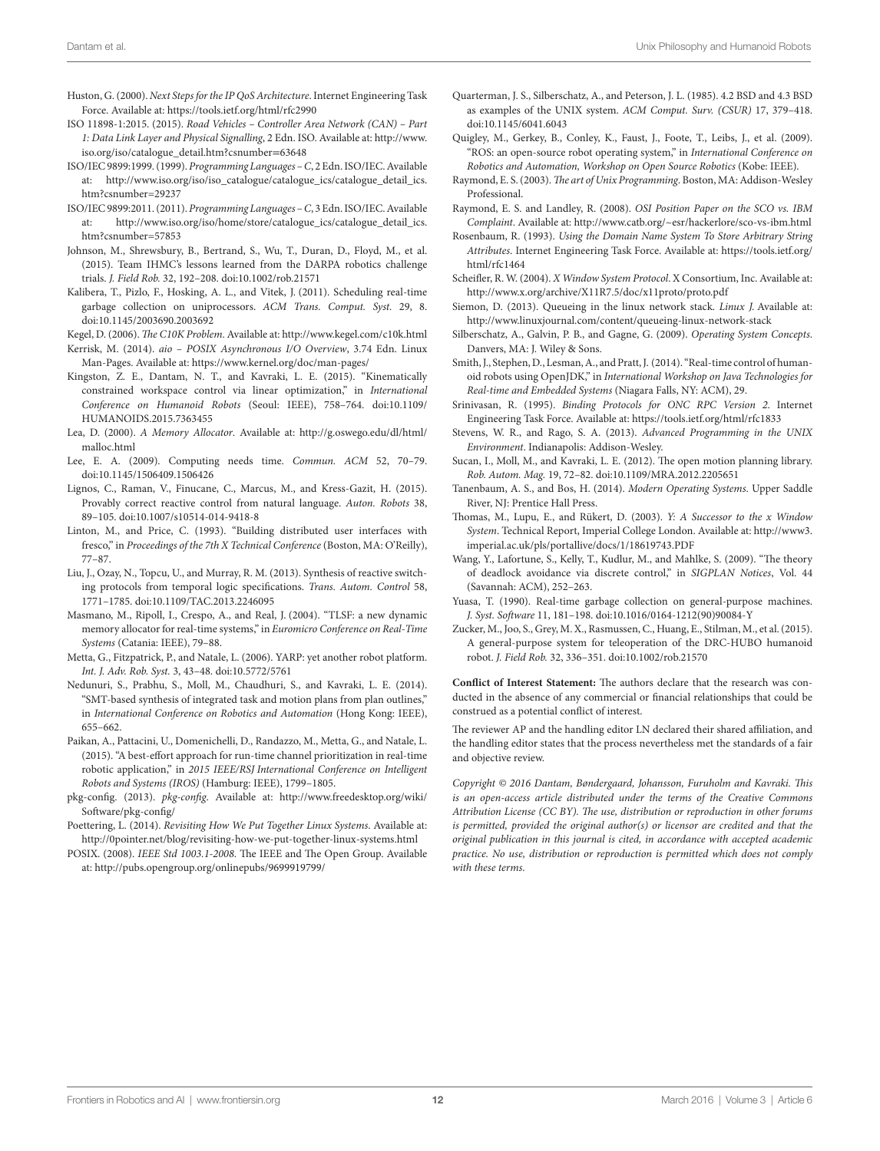- <span id="page-11-11"></span>[Huston, G.](https://tools.ietf.org/html/rfc2990) (2000). *Next Steps for the IP QoS Architecture*. Internet Engineering Task Force. Available at: https://tools.ietf.org/html/rfc2990
- <span id="page-11-13"></span>[ISO 11898-1:2015.](http://www.iso.org/iso/catalogue_detail.htm?csnumber=63648) (2015). *Road Vehicles – Controller Area Network (CAN) – Part 1: Data Link Layer and Physical Signalling*, 2 Edn. ISO. Available at: http://www. iso.org/iso/catalogue\_detail.htm?csnumber=63648
- <span id="page-11-27"></span>[ISO/IEC 9899:1999.](http://www.iso.org/iso/iso_catalogue/catalogue_ics/catalogue_detail_ics%.htm?csnumber=29237) (1999). *Programming Languages – C*, 2 Edn. ISO/IEC. Available at: [http://www.iso.org/iso/iso\\_catalogue/catalogue\\_ics/catalogue\\_detail\\_ics.](http://www.iso.org/iso/iso_catalogue/catalogue_ics/catalogue_detail_ics.htm?csnumber=29237) [htm?csnumber=29237](http://www.iso.org/iso/iso_catalogue/catalogue_ics/catalogue_detail_ics.htm?csnumber=29237)
- <span id="page-11-28"></span>[ISO/IEC 9899:2011.](http://www.iso.org/iso/home/store/catalogue_ics/catalogue_detail_ics.htm?csnumber=57853) (2011). *Programming Languages – C*, 3 Edn. ISO/IEC. Available at: [http://www.iso.org/iso/home/store/catalogue\\_ics/catalogue\\_detail\\_ics.](http://www.iso.org/iso/home/store/catalogue_ics/catalogue_detail_ics.htm?csnumber=57853) [htm?csnumber=57853](http://www.iso.org/iso/home/store/catalogue_ics/catalogue_detail_ics.htm?csnumber=57853)
- <span id="page-11-17"></span>Johnson, M., Shrewsbury, B., Bertrand, S., Wu, T., Duran, D., Floyd, M., et al. (2015). Team IHMC's lessons learned from the DARPA robotics challenge trials. *J. Field Rob.* 32, 192–208. doi[:10.1002/rob.21571](http://dx.doi.org/10.1002/rob.21571)
- <span id="page-11-19"></span>Kalibera, T., Pizlo, F., Hosking, A. L., and Vitek, J. (2011). Scheduling real-time garbage collection on uniprocessors. *ACM Trans. Comput. Syst.* 29, 8. doi:[10.1145/2003690.2003692](http://dx.doi.org/10.1145/2003690.2003692)

<span id="page-11-7"></span>[Kegel, D](http://www.kegel.com/c10k.html). (2006). *The C10K Problem*. Available at: http://www.kegel.com/c10k.html

<span id="page-11-6"></span>[Kerrisk, M.](https://www.kernel.org/doc/man-pages/) (2014). *aio – POSIX Asynchronous I/O Overview*, 3.74 Edn. Linux Man-Pages. Available at: https://www.kernel.org/doc/man-pages/

- Kingston, Z. E., Dantam, N. T., and Kavraki, L. E. (2015). "Kinematically constrained workspace control via linear optimization," in *International Conference on Humanoid Robots* (Seoul: IEEE), 758–764. doi[:10.1109/](http://dx.doi.org/10.1109/HUMANOIDS.2015.7363455) [HUMANOIDS.2015.7363455](http://dx.doi.org/10.1109/HUMANOIDS.2015.7363455)
- <span id="page-11-15"></span>[Lea, D.](http://g.oswego.edu/dl/html/malloc.html) (2000). *A Memory Allocator*. Available at: http://g.oswego.edu/dl/html/ malloc.html
- <span id="page-11-21"></span>Lee, E. A. (2009). Computing needs time. *Commun. ACM* 52, 70–79. doi:[10.1145/1506409.1506426](http://dx.doi.org/10.1145/1506409.1506426)
- <span id="page-11-34"></span>Lignos, C., Raman, V., Finucane, C., Marcus, M., and Kress-Gazit, H. (2015). Provably correct reactive control from natural language. *Auton. Robots* 38, 89–105. doi:[10.1007/s10514-014-9418-8](http://dx.doi.org/10.1007/s10514-014-9418-8)
- <span id="page-11-25"></span>Linton, M., and Price, C. (1993). "Building distributed user interfaces with fresco," in *Proceedings of the 7th X Technical Conference* (Boston, MA: O'Reilly), 77–87.
- <span id="page-11-32"></span>Liu, J., Ozay, N., Topcu, U., and Murray, R. M. (2013). Synthesis of reactive switching protocols from temporal logic specifications. *Trans. Autom. Control* 58, 1771–1785. doi:[10.1109/TAC.2013.2246095](http://dx.doi.org/10.1109/TAC.2013.2246095)
- <span id="page-11-16"></span>Masmano, M., Ripoll, I., Crespo, A., and Real, J. (2004). "TLSF: a new dynamic memory allocator for real-time systems," in *Euromicro Conference on Real-Time Systems* (Catania: IEEE), 79–88.
- <span id="page-11-29"></span>Metta, G., Fitzpatrick, P., and Natale, L. (2006). YARP: yet another robot platform. *Int. J. Adv. Rob. Syst.* 3, 43–48. doi[:10.5772/5761](http://dx.doi.org/10.5772/5761)
- <span id="page-11-33"></span>Nedunuri, S., Prabhu, S., Moll, M., Chaudhuri, S., and Kavraki, L. E. (2014). "SMT-based synthesis of integrated task and motion plans from plan outlines," in *International Conference on Robotics and Automation* (Hong Kong: IEEE), 655–662.
- <span id="page-11-14"></span>Paikan, A., Pattacini, U., Domenichelli, D., Randazzo, M., Metta, G., and Natale, L. (2015). "A best-effort approach for run-time channel prioritization in real-time robotic application," in *2015 IEEE/RSJ International Conference on Intelligent Robots and Systems (IROS)* (Hamburg: IEEE), 1799–1805.
- <span id="page-11-35"></span>[pkg-config.](http://www.freedesktop.org/wiki/Software/pkg-config/) (2013). *pkg-config*. Available at: http://www.freedesktop.org/wiki/ Software/pkg-config/
- <span id="page-11-36"></span>[Poettering, L](http://0pointer.net/blog/revisiting-how-we-put-together-linux-systems.html). (2014). *Revisiting How We Put Together Linux Systems*. Available at: http://0pointer.net/blog/revisiting-how-we-put-together-linux-systems.html
- <span id="page-11-0"></span>[POSIX.](http://pubs.opengroup.org/onlinepubs/9699919799/) (2008). *IEEE Std 1003.1-2008*. The IEEE and The Open Group. Available at: http://pubs.opengroup.org/onlinepubs/9699919799/
- <span id="page-11-5"></span>Quarterman, J. S., Silberschatz, A., and Peterson, J. L. (1985). 4.2 BSD and 4.3 BSD as examples of the UNIX system. *ACM Comput. Surv. (CSUR)* 17, 379–418. doi[:10.1145/6041.6043](http://dx.doi.org/10.1145/6041.6043)
- <span id="page-11-3"></span>Quigley, M., Gerkey, B., Conley, K., Faust, J., Foote, T., Leibs, J., et al. (2009). "ROS: an open-source robot operating system," in *International Conference on Robotics and Automation, Workshop on Open Source Robotics* (Kobe: IEEE).
- <span id="page-11-1"></span>Raymond, E. S. (2003). *The art of Unix Programming*. Boston, MA: Addison-Wesley Professional.
- <span id="page-11-4"></span>[Raymond, E. S.](http://www.catb.org/~esr/hackerlore/sco-vs-ibm.html) and Landley, R. (2008). *OSI Position Paper on the SCO vs. IBM Complaint*. Available at: http://www.catb.org/~esr/hackerlore/sco-vs-ibm.html
- <span id="page-11-9"></span>[Rosenbaum, R.](https://tools.ietf.org/html/rfc1464) (1993). *Using the Domain Name System To Store Arbitrary String Attributes*. Internet Engineering Task Force. Available at: https://tools.ietf.org/ html/rfc1464
- <span id="page-11-24"></span>[Scheifler, R. W.](http://www.x.org/archive/X11R7.5/doc/x11proto/proto.pdf) (2004). *X Window System Protocol*. X Consortium, Inc. Available at: http://www.x.org/archive/X11R7.5/doc/x11proto/proto.pdf
- <span id="page-11-12"></span>[Siemon, D.](http://www.linuxjournal.com/content/queueing-linux-network-stack) (2013). Queueing in the linux network stack. *Linux J.* Available at: http://www.linuxjournal.com/content/queueing-linux-network-stack
- <span id="page-11-23"></span>Silberschatz, A., Galvin, P. B., and Gagne, G. (2009). *Operating System Concepts*. Danvers, MA: J. Wiley & Sons.
- <span id="page-11-20"></span>Smith, J., Stephen, D., Lesman, A., and Pratt, J. (2014). "Real-time control of humanoid robots using OpenJDK," in *International Workshop on Java Technologies for Real-time and Embedded Systems* (Niagara Falls, NY: ACM), 29.
- <span id="page-11-8"></span>[Srinivasan, R.](https://tools.ietf.org/html/rfc1833) (1995). *Binding Protocols for ONC RPC Version 2*. Internet Engineering Task Force. Available at: https://tools.ietf.org/html/rfc1833
- <span id="page-11-10"></span>Stevens, W. R., and Rago, S. A. (2013). *Advanced Programming in the UNIX Environment*. Indianapolis: Addison-Wesley.
- <span id="page-11-30"></span>Sucan, I., Moll, M., and Kavraki, L. E. (2012). The open motion planning library. *Rob. Autom. Mag.* 19, 72–82. doi:[10.1109/MRA.2012.2205651](http://dx.doi.org/10.1109/MRA.2012.2205651)
- <span id="page-11-2"></span>Tanenbaum, A. S., and Bos, H. (2014). *Modern Operating Systems*. Upper Saddle River, NJ: Prentice Hall Press.
- <span id="page-11-26"></span>[Thomas, M](http://www3.imperial.ac.uk/pls/portallive/docs/1/18619743.PDF)., Lupu, E., and Rükert, D. (2003). *Y: A Successor to the x Window System*. Technical Report, Imperial College London. Available at: http://www3. imperial.ac.uk/pls/portallive/docs/1/18619743.PDF
- <span id="page-11-31"></span>Wang, Y., Lafortune, S., Kelly, T., Kudlur, M., and Mahlke, S. (2009). "The theory of deadlock avoidance via discrete control," in *SIGPLAN Notices*, Vol. 44 (Savannah: ACM), 252–263.
- <span id="page-11-18"></span>Yuasa, T. (1990). Real-time garbage collection on general-purpose machines. *J. Syst. Software* 11, 181–198. doi:[10.1016/0164-1212\(90\)90084-Y](http://dx.doi.org/10.1016/0164-1212(90)90084-Y)
- <span id="page-11-22"></span>Zucker, M., Joo, S., Grey, M. X., Rasmussen, C., Huang, E., Stilman, M., et al. (2015). A general-purpose system for teleoperation of the DRC-HUBO humanoid robot. *J. Field Rob.* 32, 336–351. doi[:10.1002/rob.21570](http://dx.doi.org/10.1002/rob.21570)

**Conflict of Interest Statement:** The authors declare that the research was conducted in the absence of any commercial or financial relationships that could be construed as a potential conflict of interest.

The reviewer AP and the handling editor LN declared their shared affiliation, and the handling editor states that the process nevertheless met the standards of a fair and objective review.

*Copyright © 2016 Dantam, Bøndergaard, Johansson, Furuholm and Kavraki. This is an open-access article distributed under the terms of the [Creative Commons](http://creativecommons.org/licenses/by/4.0/)  [Attribution License \(CC BY\)](http://creativecommons.org/licenses/by/4.0/). The use, distribution or reproduction in other forums is permitted, provided the original author(s) or licensor are credited and that the original publication in this journal is cited, in accordance with accepted academic practice. No use, distribution or reproduction is permitted which does not comply with these terms.*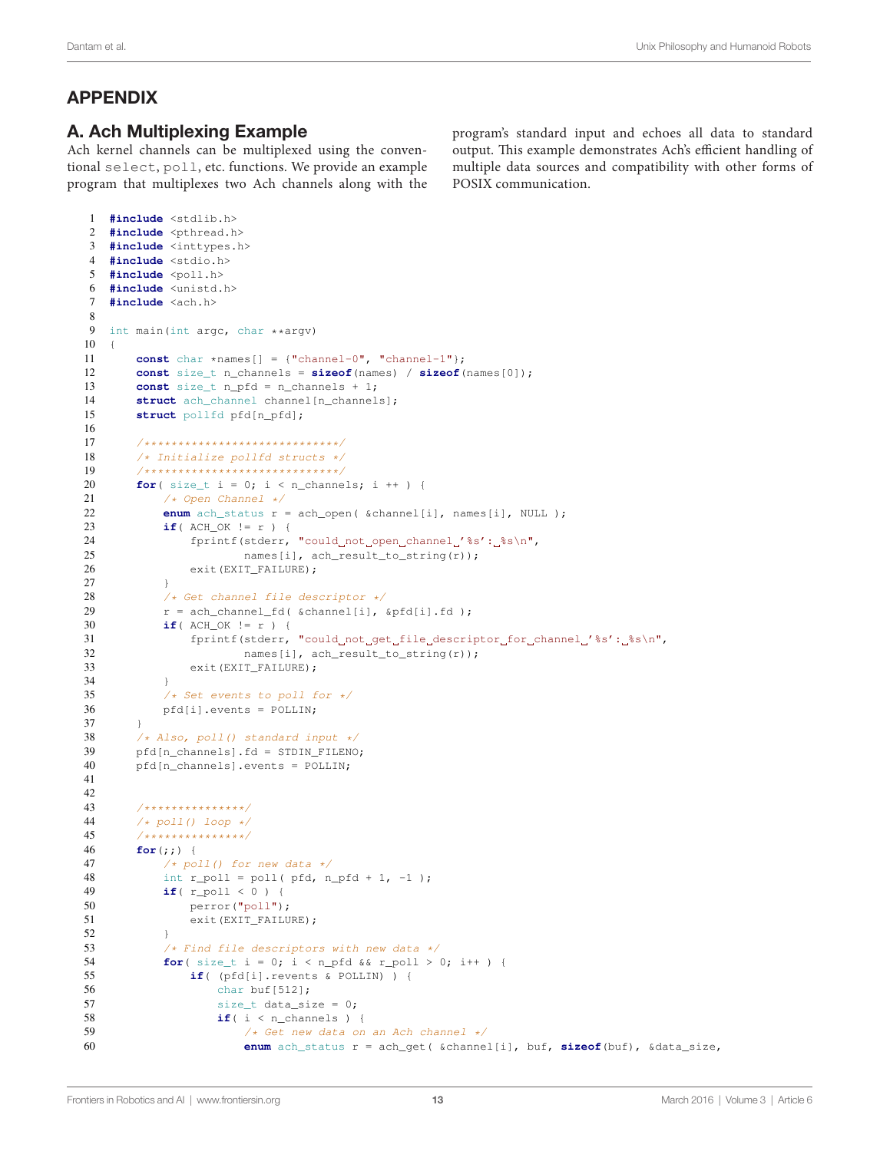# APPENDIX

# A. Ach Multiplexing Example

Ach kernel channels can be multiplexed using the conventional select, poll, etc. functions. We provide an example program that multiplexes two Ach channels along with the program's standard input and echoes all data to standard output. This example demonstrates Ach's efficient handling of multiple data sources and compatibility with other forms of POSIX communication.

```
26 exit(EXIT_FAILURE);
27 }
28 /* Get channel file descriptor */<br>29 r = ach channel fd(&channelii).
            r = \text{ach\_channel\_fd} ( &channel[i], &pfd[i].fd );
30 if( ACH_OK != r ) {
31 fprintf(stderr, "could_not_get_file_descriptor_for_channel_'%s':_%s\n",
32 names[i], ach_result_to_string(r));
33 exit(EXIT_FAILURE);
34 }
35 /* Set events to poll for */<br>36 pfd[i].events = POLLIN;
            36 pfd[i].events = POLLIN;
37 }
38 /* Also, poll() standard input */<br>39 pdfIn channels1, fd = STDIN FTIENDpfd[n_channels].fd = STDIN_FILENO;
40 pfd[n_channels].events = POLLIN;
41
42
43 /**************/<br>44 /* poll() loop */
44 /* poll() loop */<br>45 /*****************
45 /**************/<br>46 for (: : ) {
        46 for(;;) {
47 /* poll() for new data */<br>48 int r noll = noll(nfd n
            int r_poll = poll( pfd, n_pfd + 1, -1 );
49 if( r_poll<0){
50 perror("poll");
51 exit(EXIT_FAILURE);
52 }
53 /* Find file descriptors with new data */<br>54 for (size t i = 0; i < n nfd 6.6 r noll > (
            for( size_t i = 0; i < n_pfd && r_poll > 0; i++ ) {
55 if( (pfd[i].revents & POLLIN)){
56 char buf[512];
57 size_t data_size = 0;
58 if(i < n_channels) {
59 /* Get new data on an Ach channel */
60 enum ach_status r = ach_get( &channel[i], buf, sizeof(buf), &data_size,
1 #include <stdlib.h>
2 #include <pthread.h>
3 #include <inttypes.h>
 4 #include <stdio.h>
5 #include <poll.h>
6 #include <unistd.h>
7 #include <ach.h>
8
9 int main(int argc, char **argv)
10 {
11 const char *names[] = {\text{("channel-0", "channel-1"}; }<br>12 const size t n channels = \text{sizeof}(\text{names}) / \text{sizeof}const size t n channels = sizeof(names) / sizeof(names[0]);
13 const size_t n_pfd = n_channels + 1;
14 struct ach_channel channel [n_channels];
15 struct pollfd pfd[n_pfd];
16
17 /*****************************/
18 /* Initialize pollfd structs */
19 /*****************************/
        for( size_t i = 0; i < n_channels; i ++ ) {
21 /* Open Channel */<br>22 enum ach status r
22 enum ach_status r = \text{ach\_open}(\text{ \& channel}[i], \text{ names}[i], \text{ NULL});<br>
23 if(\text{ACH OR } l = r) {
            if( ACH_OK != r )24 fprintf(stderr, "could not open channel '%s': %s\n",
25 names[i], ach_result_to_string(r));
```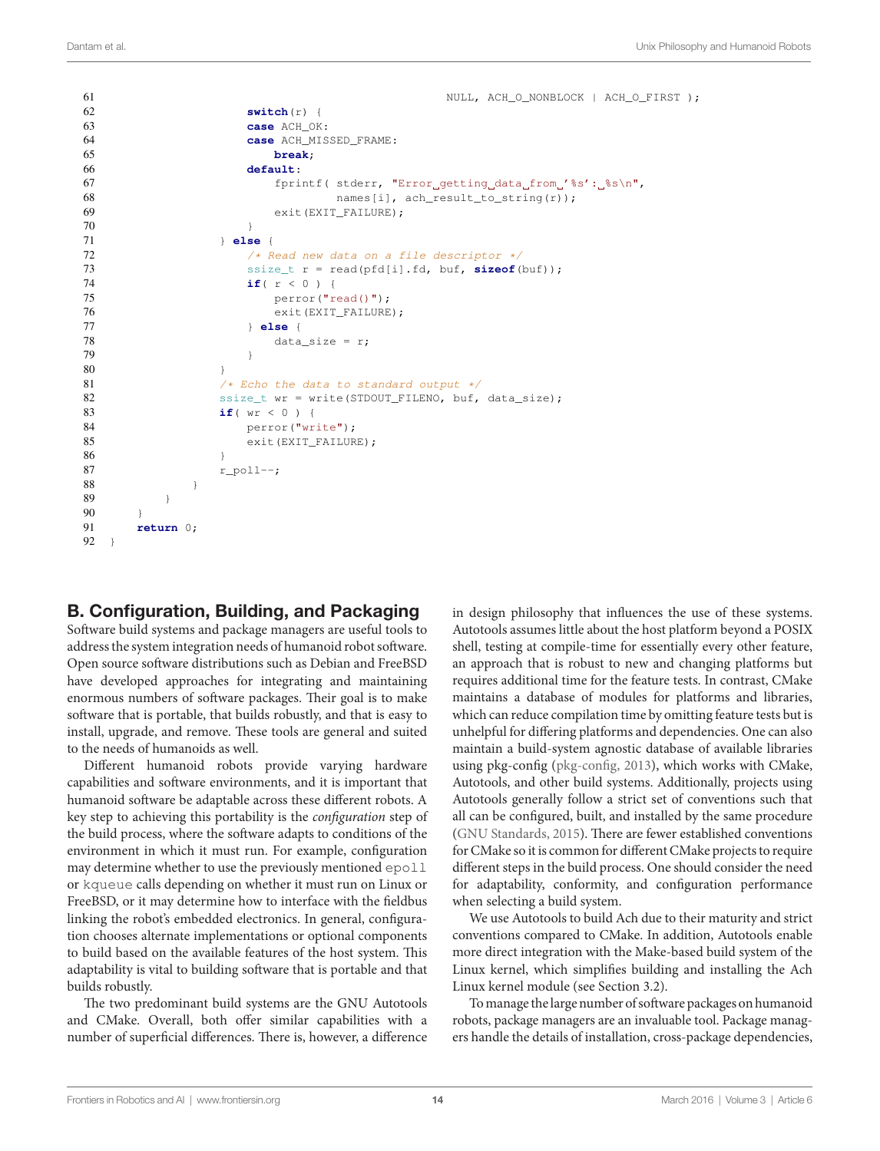```
61 NULL, ACH O_NONBLOCK | ACH_O_FIRST );
62 switch(r) {
63 case ACH_OK:
64 case ACH_MISSED_FRAME:
65 break;
66 default:
67 fprintf( stderr, "Error getting data from '%s': %s\n",
68 hames[i], ach_result_to_string(r));
69 exit(EXIT_FAILURE);
70 }
71 } else {
72 /* Read new data on a file descriptor \star/<br>73 ssize t r = read(pfd[i].fd. buf. sizeof(
              73 ssize_t r = read(pfd[i].fd, buf, sizeof(buf));
74 if(r<0){
75 perror("read()");
76 exit(EXIT_FAILURE);
77 } else {
78 data_size = r;
79 }
80 }
81 \frac{1}{\sqrt{8}} /* Echo the data to standard output */<br>82 ssize two = write (STDOUT FILENO, buf.
            ssize t wr = write(STDOUT FILENO, buf, data size);
83 if( wr < 0 ) {
84 perror("write");
85 exit(EXIT_FAILURE);
86 }
87 r\_poll--;88 }
89 }
90 }
91 return 0;
92 }
```
# B. Configuration, Building, and Packaging

Software build systems and package managers are useful tools to address the system integration needs of humanoid robot software. Open source software distributions such as Debian and FreeBSD have developed approaches for integrating and maintaining enormous numbers of software packages. Their goal is to make software that is portable, that builds robustly, and that is easy to install, upgrade, and remove. These tools are general and suited to the needs of humanoids as well.

Different humanoid robots provide varying hardware capabilities and software environments, and it is important that humanoid software be adaptable across these different robots. A key step to achieving this portability is the *configuration* step of the build process, where the software adapts to conditions of the environment in which it must run. For example, configuration may determine whether to use the previously mentioned epoll or kqueue calls depending on whether it must run on Linux or FreeBSD, or it may determine how to interface with the fieldbus linking the robot's embedded electronics. In general, configuration chooses alternate implementations or optional components to build based on the available features of the host system. This adaptability is vital to building software that is portable and that builds robustly.

The two predominant build systems are the GNU Autotools and CMake. Overall, both offer similar capabilities with a number of superficial differences. There is, however, a difference in design philosophy that influences the use of these systems. Autotools assumes little about the host platform beyond a POSIX shell, testing at compile-time for essentially every other feature, an approach that is robust to new and changing platforms but requires additional time for the feature tests. In contrast, CMake maintains a database of modules for platforms and libraries, which can reduce compilation time by omitting feature tests but is unhelpful for differing platforms and dependencies. One can also maintain a build-system agnostic database of available libraries using pkg-config ([pkg-config, 2013\)](#page-11-35), which works with CMake, Autotools, and other build systems. Additionally, projects using Autotools generally follow a strict set of conventions such that all can be configured, built, and installed by the same procedure [\(GNU Standards, 2015](#page-10-26)). There are fewer established conventions for CMake so it is common for different CMake projects to require different steps in the build process. One should consider the need for adaptability, conformity, and configuration performance when selecting a build system.

We use Autotools to build Ach due to their maturity and strict conventions compared to CMake. In addition, Autotools enable more direct integration with the Make-based build system of the Linux kernel, which simplifies building and installing the Ach Linux kernel module (see Section 3.2).

To manage the large number of software packages on humanoid robots, package managers are an invaluable tool. Package managers handle the details of installation, cross-package dependencies,